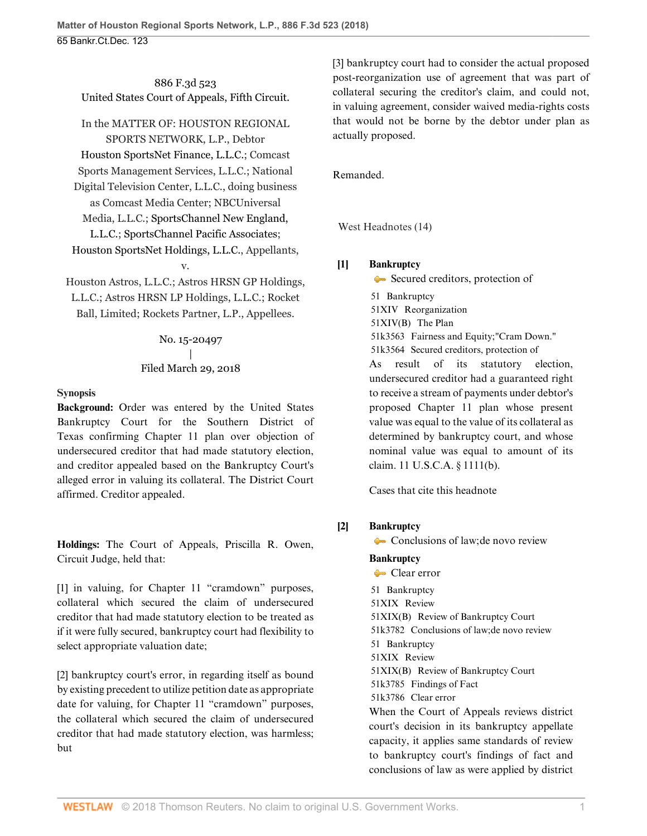886 F.3d 523 United States Court of Appeals, Fifth Circuit.

# In the MATTER OF: HOUSTON REGIONAL

SPORTS NETWORK, L.P., Debtor [Houston SportsNet Finance, L.L.C.;](http://www.westlaw.com/Search/Results.html?query=advanced%3a+OAID(5034748818)&saveJuris=False&contentType=BUSINESS-INVESTIGATOR&startIndex=1&contextData=(sc.Default)&categoryPageUrl=Home%2fCompanyInvestigator&originationContext=document&vr=3.0&rs=cblt1.0&transitionType=DocumentItem) Comcast Sports Management Services, L.L.C.; National Digital Television Center, L.L.C., doing business as Comcast Media Center; NBCUniversal Media, L.L.C.; [SportsChannel New England,](http://www.westlaw.com/Search/Results.html?query=advanced%3a+OAID(5000394152)&saveJuris=False&contentType=BUSINESS-INVESTIGATOR&startIndex=1&contextData=(sc.Default)&categoryPageUrl=Home%2fCompanyInvestigator&originationContext=document&vr=3.0&rs=cblt1.0&transitionType=DocumentItem) [L.L.C.;](http://www.westlaw.com/Search/Results.html?query=advanced%3a+OAID(5000394152)&saveJuris=False&contentType=BUSINESS-INVESTIGATOR&startIndex=1&contextData=(sc.Default)&categoryPageUrl=Home%2fCompanyInvestigator&originationContext=document&vr=3.0&rs=cblt1.0&transitionType=DocumentItem) [SportsChannel Pacific Associates;](http://www.westlaw.com/Search/Results.html?query=advanced%3a+OAID(5000387803)&saveJuris=False&contentType=BUSINESS-INVESTIGATOR&startIndex=1&contextData=(sc.Default)&categoryPageUrl=Home%2fCompanyInvestigator&originationContext=document&vr=3.0&rs=cblt1.0&transitionType=DocumentItem) [Houston SportsNet Holdings, L.L.C.,](http://www.westlaw.com/Search/Results.html?query=advanced%3a+OAID(5034748826)&saveJuris=False&contentType=BUSINESS-INVESTIGATOR&startIndex=1&contextData=(sc.Default)&categoryPageUrl=Home%2fCompanyInvestigator&originationContext=document&vr=3.0&rs=cblt1.0&transitionType=DocumentItem) Appellants, v. Houston Astros, L.L.C.; Astros HRSN GP Holdings,

L.L.C.; Astros HRSN LP Holdings, L.L.C.; Rocket Ball, Limited; Rockets Partner, L.P., Appellees.

> No. 15-20497 | Filed March 29, 2018

#### **Synopsis**

**Background:** Order was entered by the United States Bankruptcy Court for the Southern District of Texas confirming Chapter 11 plan over objection of undersecured creditor that had made statutory election, and creditor appealed based on the Bankruptcy Court's alleged error in valuing its collateral. The District Court affirmed. Creditor appealed.

**Holdings:** The Court of Appeals, [Priscilla R. Owen](http://www.westlaw.com/Link/Document/FullText?findType=h&pubNum=176284&cite=0101497701&originatingDoc=Id6fbb8b0338811e8a054a06708233710&refType=RQ&originationContext=document&vr=3.0&rs=cblt1.0&transitionType=DocumentItem&contextData=(sc.PubAlert)), Circuit Judge, held that:

[\[1\]](#page-1-0) in valuing, for Chapter 11 "cramdown" purposes, collateral which secured the claim of undersecured creditor that had made statutory election to be treated as if it were fully secured, bankruptcy court had flexibility to select appropriate valuation date;

[\[2\]](#page-1-1) bankruptcy court's error, in regarding itself as bound by existing precedent to utilize petition date as appropriate date for valuing, for Chapter 11 "cramdown" purposes, the collateral which secured the claim of undersecured creditor that had made statutory election, was harmless; but

[\[3\]](#page-2-0) bankruptcy court had to consider the actual proposed post-reorganization use of agreement that was part of collateral securing the creditor's claim, and could not, in valuing agreement, consider waived media-rights costs that would not be borne by the debtor under plan as actually proposed.

Remanded.

West Headnotes (14)

## <span id="page-0-0"></span>**[\[1\]](#page-4-0) [Bankruptcy](http://www.westlaw.com/Browse/Home/KeyNumber/51/View.html?docGuid=Id6fbb8b0338811e8a054a06708233710&originationContext=document&vr=3.0&rs=cblt1.0&transitionType=DocumentItem&contextData=(sc.PubAlert))**

[Secured creditors, protection of](http://www.westlaw.com/Browse/Home/KeyNumber/51k3564/View.html?docGuid=Id6fbb8b0338811e8a054a06708233710&originationContext=document&vr=3.0&rs=cblt1.0&transitionType=DocumentItem&contextData=(sc.PubAlert)) [51](http://www.westlaw.com/Browse/Home/KeyNumber/51/View.html?docGuid=Id6fbb8b0338811e8a054a06708233710&originationContext=document&vr=3.0&rs=cblt1.0&transitionType=DocumentItem&contextData=(sc.PubAlert)) Bankruptcy [51XIV](http://www.westlaw.com/Browse/Home/KeyNumber/51XIV/View.html?docGuid=Id6fbb8b0338811e8a054a06708233710&originationContext=document&vr=3.0&rs=cblt1.0&transitionType=DocumentItem&contextData=(sc.PubAlert)) Reorganization [51XIV\(B\)](http://www.westlaw.com/Browse/Home/KeyNumber/51XIV(B)/View.html?docGuid=Id6fbb8b0338811e8a054a06708233710&originationContext=document&vr=3.0&rs=cblt1.0&transitionType=DocumentItem&contextData=(sc.PubAlert)) The Plan [51k3563](http://www.westlaw.com/Browse/Home/KeyNumber/51k3563/View.html?docGuid=Id6fbb8b0338811e8a054a06708233710&originationContext=document&vr=3.0&rs=cblt1.0&transitionType=DocumentItem&contextData=(sc.PubAlert)) Fairness and Equity; "Cram Down." [51k3564](http://www.westlaw.com/Browse/Home/KeyNumber/51k3564/View.html?docGuid=Id6fbb8b0338811e8a054a06708233710&originationContext=document&vr=3.0&rs=cblt1.0&transitionType=DocumentItem&contextData=(sc.PubAlert)) Secured creditors, protection of As result of its statutory election, undersecured creditor had a guaranteed right to receive a stream of payments under debtor's proposed Chapter 11 plan whose present value was equal to the value of its collateral as determined by bankruptcy court, and whose nominal value was equal to amount of its claim. [11 U.S.C.A. § 1111\(b\).](http://www.westlaw.com/Link/Document/FullText?findType=L&pubNum=1000546&cite=11USCAS1111&originatingDoc=Id6fbb8b0338811e8a054a06708233710&refType=SP&originationContext=document&vr=3.0&rs=cblt1.0&transitionType=DocumentItem&contextData=(sc.PubAlert)#co_pp_a83b000018c76)

[Cases that cite this headnote](http://www.westlaw.com/Link/RelatedInformation/DocHeadnoteLink?docGuid=Id6fbb8b0338811e8a054a06708233710&headnoteId=204418166300520180419122142&originationContext=document&vr=3.0&rs=cblt1.0&transitionType=CitingReferences&contextData=(sc.PubAlert))

## <span id="page-0-1"></span>**[\[2\]](#page-5-0) [Bankruptcy](http://www.westlaw.com/Browse/Home/KeyNumber/51/View.html?docGuid=Id6fbb8b0338811e8a054a06708233710&originationContext=document&vr=3.0&rs=cblt1.0&transitionType=DocumentItem&contextData=(sc.PubAlert))**

[Conclusions of law; de novo review](http://www.westlaw.com/Browse/Home/KeyNumber/51k3782/View.html?docGuid=Id6fbb8b0338811e8a054a06708233710&originationContext=document&vr=3.0&rs=cblt1.0&transitionType=DocumentItem&contextData=(sc.PubAlert))

## **[Bankruptcy](http://www.westlaw.com/Browse/Home/KeyNumber/51/View.html?docGuid=Id6fbb8b0338811e8a054a06708233710&originationContext=document&vr=3.0&rs=cblt1.0&transitionType=DocumentItem&contextData=(sc.PubAlert))**

[Clear error](http://www.westlaw.com/Browse/Home/KeyNumber/51k3786/View.html?docGuid=Id6fbb8b0338811e8a054a06708233710&originationContext=document&vr=3.0&rs=cblt1.0&transitionType=DocumentItem&contextData=(sc.PubAlert)) [51](http://www.westlaw.com/Browse/Home/KeyNumber/51/View.html?docGuid=Id6fbb8b0338811e8a054a06708233710&originationContext=document&vr=3.0&rs=cblt1.0&transitionType=DocumentItem&contextData=(sc.PubAlert)) Bankruptcy [51XIX](http://www.westlaw.com/Browse/Home/KeyNumber/51XIX/View.html?docGuid=Id6fbb8b0338811e8a054a06708233710&originationContext=document&vr=3.0&rs=cblt1.0&transitionType=DocumentItem&contextData=(sc.PubAlert)) Review [51XIX\(B\)](http://www.westlaw.com/Browse/Home/KeyNumber/51XIX(B)/View.html?docGuid=Id6fbb8b0338811e8a054a06708233710&originationContext=document&vr=3.0&rs=cblt1.0&transitionType=DocumentItem&contextData=(sc.PubAlert)) Review of Bankruptcy Court [51k3782](http://www.westlaw.com/Browse/Home/KeyNumber/51k3782/View.html?docGuid=Id6fbb8b0338811e8a054a06708233710&originationContext=document&vr=3.0&rs=cblt1.0&transitionType=DocumentItem&contextData=(sc.PubAlert)) Conclusions of law; de novo review [51](http://www.westlaw.com/Browse/Home/KeyNumber/51/View.html?docGuid=Id6fbb8b0338811e8a054a06708233710&originationContext=document&vr=3.0&rs=cblt1.0&transitionType=DocumentItem&contextData=(sc.PubAlert)) Bankruptcy [51XIX](http://www.westlaw.com/Browse/Home/KeyNumber/51XIX/View.html?docGuid=Id6fbb8b0338811e8a054a06708233710&originationContext=document&vr=3.0&rs=cblt1.0&transitionType=DocumentItem&contextData=(sc.PubAlert)) Review [51XIX\(B\)](http://www.westlaw.com/Browse/Home/KeyNumber/51XIX(B)/View.html?docGuid=Id6fbb8b0338811e8a054a06708233710&originationContext=document&vr=3.0&rs=cblt1.0&transitionType=DocumentItem&contextData=(sc.PubAlert)) Review of Bankruptcy Court [51k3785](http://www.westlaw.com/Browse/Home/KeyNumber/51k3785/View.html?docGuid=Id6fbb8b0338811e8a054a06708233710&originationContext=document&vr=3.0&rs=cblt1.0&transitionType=DocumentItem&contextData=(sc.PubAlert)) Findings of Fact [51k3786](http://www.westlaw.com/Browse/Home/KeyNumber/51k3786/View.html?docGuid=Id6fbb8b0338811e8a054a06708233710&originationContext=document&vr=3.0&rs=cblt1.0&transitionType=DocumentItem&contextData=(sc.PubAlert)) Clear error When the Court of Appeals reviews district court's decision in its bankruptcy appellate capacity, it applies same standards of review to bankruptcy court's findings of fact and

conclusions of law as were applied by district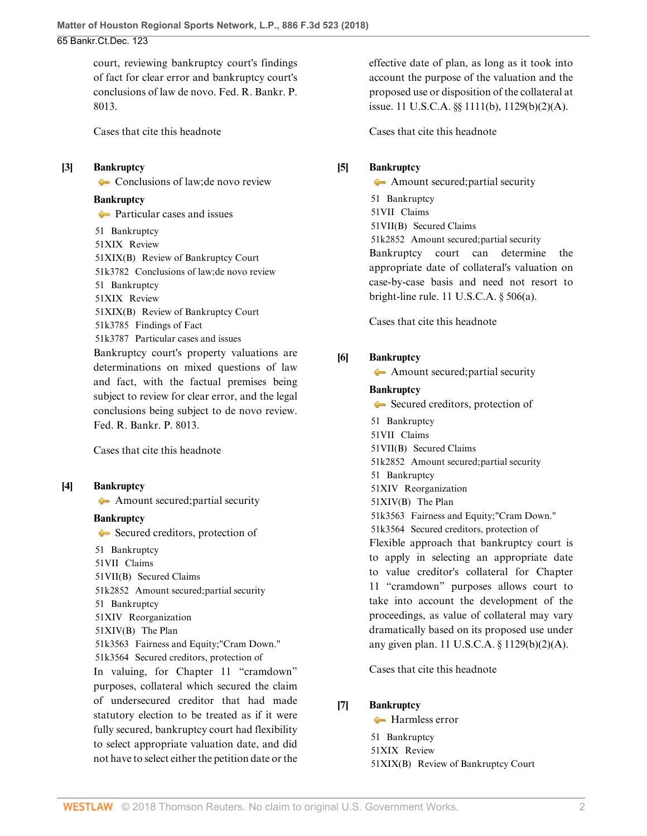court, reviewing bankruptcy court's findings of fact for clear error and bankruptcy court's conclusions of law de novo. [Fed. R. Bankr. P.](http://www.westlaw.com/Link/Document/FullText?findType=L&pubNum=1000611&cite=USFRBPR8013&originatingDoc=Id6fbb8b0338811e8a054a06708233710&refType=LQ&originationContext=document&vr=3.0&rs=cblt1.0&transitionType=DocumentItem&contextData=(sc.PubAlert)) [8013](http://www.westlaw.com/Link/Document/FullText?findType=L&pubNum=1000611&cite=USFRBPR8013&originatingDoc=Id6fbb8b0338811e8a054a06708233710&refType=LQ&originationContext=document&vr=3.0&rs=cblt1.0&transitionType=DocumentItem&contextData=(sc.PubAlert)).

[Cases that cite this headnote](http://www.westlaw.com/Link/RelatedInformation/DocHeadnoteLink?docGuid=Id6fbb8b0338811e8a054a06708233710&headnoteId=204418166300120180419122142&originationContext=document&vr=3.0&rs=cblt1.0&transitionType=CitingReferences&contextData=(sc.PubAlert))

#### <span id="page-1-2"></span>**[\[3\]](#page-5-1) [Bankruptcy](http://www.westlaw.com/Browse/Home/KeyNumber/51/View.html?docGuid=Id6fbb8b0338811e8a054a06708233710&originationContext=document&vr=3.0&rs=cblt1.0&transitionType=DocumentItem&contextData=(sc.PubAlert))**

[Conclusions of law; de novo review](http://www.westlaw.com/Browse/Home/KeyNumber/51k3782/View.html?docGuid=Id6fbb8b0338811e8a054a06708233710&originationContext=document&vr=3.0&rs=cblt1.0&transitionType=DocumentItem&contextData=(sc.PubAlert))

#### **[Bankruptcy](http://www.westlaw.com/Browse/Home/KeyNumber/51/View.html?docGuid=Id6fbb8b0338811e8a054a06708233710&originationContext=document&vr=3.0&rs=cblt1.0&transitionType=DocumentItem&contextData=(sc.PubAlert))**

**[Particular cases and issues](http://www.westlaw.com/Browse/Home/KeyNumber/51k3787/View.html?docGuid=Id6fbb8b0338811e8a054a06708233710&originationContext=document&vr=3.0&rs=cblt1.0&transitionType=DocumentItem&contextData=(sc.PubAlert))** [51](http://www.westlaw.com/Browse/Home/KeyNumber/51/View.html?docGuid=Id6fbb8b0338811e8a054a06708233710&originationContext=document&vr=3.0&rs=cblt1.0&transitionType=DocumentItem&contextData=(sc.PubAlert)) Bankruptcy [51XIX](http://www.westlaw.com/Browse/Home/KeyNumber/51XIX/View.html?docGuid=Id6fbb8b0338811e8a054a06708233710&originationContext=document&vr=3.0&rs=cblt1.0&transitionType=DocumentItem&contextData=(sc.PubAlert)) Review [51XIX\(B\)](http://www.westlaw.com/Browse/Home/KeyNumber/51XIX(B)/View.html?docGuid=Id6fbb8b0338811e8a054a06708233710&originationContext=document&vr=3.0&rs=cblt1.0&transitionType=DocumentItem&contextData=(sc.PubAlert)) Review of Bankruptcy Court [51k3782](http://www.westlaw.com/Browse/Home/KeyNumber/51k3782/View.html?docGuid=Id6fbb8b0338811e8a054a06708233710&originationContext=document&vr=3.0&rs=cblt1.0&transitionType=DocumentItem&contextData=(sc.PubAlert)) Conclusions of law; de novo review [51](http://www.westlaw.com/Browse/Home/KeyNumber/51/View.html?docGuid=Id6fbb8b0338811e8a054a06708233710&originationContext=document&vr=3.0&rs=cblt1.0&transitionType=DocumentItem&contextData=(sc.PubAlert)) Bankruptcy [51XIX](http://www.westlaw.com/Browse/Home/KeyNumber/51XIX/View.html?docGuid=Id6fbb8b0338811e8a054a06708233710&originationContext=document&vr=3.0&rs=cblt1.0&transitionType=DocumentItem&contextData=(sc.PubAlert)) Review [51XIX\(B\)](http://www.westlaw.com/Browse/Home/KeyNumber/51XIX(B)/View.html?docGuid=Id6fbb8b0338811e8a054a06708233710&originationContext=document&vr=3.0&rs=cblt1.0&transitionType=DocumentItem&contextData=(sc.PubAlert)) Review of Bankruptcy Court [51k3785](http://www.westlaw.com/Browse/Home/KeyNumber/51k3785/View.html?docGuid=Id6fbb8b0338811e8a054a06708233710&originationContext=document&vr=3.0&rs=cblt1.0&transitionType=DocumentItem&contextData=(sc.PubAlert)) Findings of Fact [51k3787](http://www.westlaw.com/Browse/Home/KeyNumber/51k3787/View.html?docGuid=Id6fbb8b0338811e8a054a06708233710&originationContext=document&vr=3.0&rs=cblt1.0&transitionType=DocumentItem&contextData=(sc.PubAlert)) Particular cases and issues Bankruptcy court's property valuations are determinations on mixed questions of law and fact, with the factual premises being subject to review for clear error, and the legal conclusions being subject to de novo review. [Fed. R. Bankr. P. 8013](http://www.westlaw.com/Link/Document/FullText?findType=L&pubNum=1000611&cite=USFRBPR8013&originatingDoc=Id6fbb8b0338811e8a054a06708233710&refType=LQ&originationContext=document&vr=3.0&rs=cblt1.0&transitionType=DocumentItem&contextData=(sc.PubAlert)).

[Cases that cite this headnote](http://www.westlaw.com/Link/RelatedInformation/DocHeadnoteLink?docGuid=Id6fbb8b0338811e8a054a06708233710&headnoteId=204418166300220180419122142&originationContext=document&vr=3.0&rs=cblt1.0&transitionType=CitingReferences&contextData=(sc.PubAlert))

### <span id="page-1-0"></span>**[\[4\]](#page-5-2) [Bankruptcy](http://www.westlaw.com/Browse/Home/KeyNumber/51/View.html?docGuid=Id6fbb8b0338811e8a054a06708233710&originationContext=document&vr=3.0&rs=cblt1.0&transitionType=DocumentItem&contextData=(sc.PubAlert))**

[Amount secured; partial security](http://www.westlaw.com/Browse/Home/KeyNumber/51k2852/View.html?docGuid=Id6fbb8b0338811e8a054a06708233710&originationContext=document&vr=3.0&rs=cblt1.0&transitionType=DocumentItem&contextData=(sc.PubAlert))

#### **[Bankruptcy](http://www.westlaw.com/Browse/Home/KeyNumber/51/View.html?docGuid=Id6fbb8b0338811e8a054a06708233710&originationContext=document&vr=3.0&rs=cblt1.0&transitionType=DocumentItem&contextData=(sc.PubAlert))**

[51](http://www.westlaw.com/Browse/Home/KeyNumber/51/View.html?docGuid=Id6fbb8b0338811e8a054a06708233710&originationContext=document&vr=3.0&rs=cblt1.0&transitionType=DocumentItem&contextData=(sc.PubAlert)) Bankruptcy

[Secured creditors, protection of](http://www.westlaw.com/Browse/Home/KeyNumber/51k3564/View.html?docGuid=Id6fbb8b0338811e8a054a06708233710&originationContext=document&vr=3.0&rs=cblt1.0&transitionType=DocumentItem&contextData=(sc.PubAlert))

[51VII](http://www.westlaw.com/Browse/Home/KeyNumber/51VII/View.html?docGuid=Id6fbb8b0338811e8a054a06708233710&originationContext=document&vr=3.0&rs=cblt1.0&transitionType=DocumentItem&contextData=(sc.PubAlert)) Claims [51VII\(B\)](http://www.westlaw.com/Browse/Home/KeyNumber/51VII(B)/View.html?docGuid=Id6fbb8b0338811e8a054a06708233710&originationContext=document&vr=3.0&rs=cblt1.0&transitionType=DocumentItem&contextData=(sc.PubAlert)) Secured Claims [51k2852](http://www.westlaw.com/Browse/Home/KeyNumber/51k2852/View.html?docGuid=Id6fbb8b0338811e8a054a06708233710&originationContext=document&vr=3.0&rs=cblt1.0&transitionType=DocumentItem&contextData=(sc.PubAlert)) Amount secured; partial security [51](http://www.westlaw.com/Browse/Home/KeyNumber/51/View.html?docGuid=Id6fbb8b0338811e8a054a06708233710&originationContext=document&vr=3.0&rs=cblt1.0&transitionType=DocumentItem&contextData=(sc.PubAlert)) Bankruptcy [51XIV](http://www.westlaw.com/Browse/Home/KeyNumber/51XIV/View.html?docGuid=Id6fbb8b0338811e8a054a06708233710&originationContext=document&vr=3.0&rs=cblt1.0&transitionType=DocumentItem&contextData=(sc.PubAlert)) Reorganization [51XIV\(B\)](http://www.westlaw.com/Browse/Home/KeyNumber/51XIV(B)/View.html?docGuid=Id6fbb8b0338811e8a054a06708233710&originationContext=document&vr=3.0&rs=cblt1.0&transitionType=DocumentItem&contextData=(sc.PubAlert)) The Plan [51k3563](http://www.westlaw.com/Browse/Home/KeyNumber/51k3563/View.html?docGuid=Id6fbb8b0338811e8a054a06708233710&originationContext=document&vr=3.0&rs=cblt1.0&transitionType=DocumentItem&contextData=(sc.PubAlert)) Fairness and Equity; "Cram Down." [51k3564](http://www.westlaw.com/Browse/Home/KeyNumber/51k3564/View.html?docGuid=Id6fbb8b0338811e8a054a06708233710&originationContext=document&vr=3.0&rs=cblt1.0&transitionType=DocumentItem&contextData=(sc.PubAlert)) Secured creditors, protection of In valuing, for Chapter 11 "cramdown" purposes, collateral which secured the claim of undersecured creditor that had made statutory election to be treated as if it were fully secured, bankruptcy court had flexibility to select appropriate valuation date, and did not have to select either the petition date or the

effective date of plan, as long as it took into account the purpose of the valuation and the proposed use or disposition of the collateral at issue. [11 U.S.C.A. §§ 1111\(b\),](http://www.westlaw.com/Link/Document/FullText?findType=L&pubNum=1000546&cite=11USCAS1111&originatingDoc=Id6fbb8b0338811e8a054a06708233710&refType=SP&originationContext=document&vr=3.0&rs=cblt1.0&transitionType=DocumentItem&contextData=(sc.PubAlert)#co_pp_a83b000018c76) [1129\(b\)\(2\)\(A\)](http://www.westlaw.com/Link/Document/FullText?findType=L&pubNum=1000546&cite=11USCAS1129&originatingDoc=Id6fbb8b0338811e8a054a06708233710&refType=SP&originationContext=document&vr=3.0&rs=cblt1.0&transitionType=DocumentItem&contextData=(sc.PubAlert)#co_pp_1eca000045f07).

[Cases that cite this headnote](http://www.westlaw.com/Link/RelatedInformation/DocHeadnoteLink?docGuid=Id6fbb8b0338811e8a054a06708233710&headnoteId=204418166300320180419122142&originationContext=document&vr=3.0&rs=cblt1.0&transitionType=CitingReferences&contextData=(sc.PubAlert))

### <span id="page-1-3"></span>**[\[5\]](#page-8-0) [Bankruptcy](http://www.westlaw.com/Browse/Home/KeyNumber/51/View.html?docGuid=Id6fbb8b0338811e8a054a06708233710&originationContext=document&vr=3.0&rs=cblt1.0&transitionType=DocumentItem&contextData=(sc.PubAlert))**

[Amount secured; partial security](http://www.westlaw.com/Browse/Home/KeyNumber/51k2852/View.html?docGuid=Id6fbb8b0338811e8a054a06708233710&originationContext=document&vr=3.0&rs=cblt1.0&transitionType=DocumentItem&contextData=(sc.PubAlert)) [51](http://www.westlaw.com/Browse/Home/KeyNumber/51/View.html?docGuid=Id6fbb8b0338811e8a054a06708233710&originationContext=document&vr=3.0&rs=cblt1.0&transitionType=DocumentItem&contextData=(sc.PubAlert)) Bankruptcy [51VII](http://www.westlaw.com/Browse/Home/KeyNumber/51VII/View.html?docGuid=Id6fbb8b0338811e8a054a06708233710&originationContext=document&vr=3.0&rs=cblt1.0&transitionType=DocumentItem&contextData=(sc.PubAlert)) Claims [51VII\(B\)](http://www.westlaw.com/Browse/Home/KeyNumber/51VII(B)/View.html?docGuid=Id6fbb8b0338811e8a054a06708233710&originationContext=document&vr=3.0&rs=cblt1.0&transitionType=DocumentItem&contextData=(sc.PubAlert)) Secured Claims [51k2852](http://www.westlaw.com/Browse/Home/KeyNumber/51k2852/View.html?docGuid=Id6fbb8b0338811e8a054a06708233710&originationContext=document&vr=3.0&rs=cblt1.0&transitionType=DocumentItem&contextData=(sc.PubAlert)) Amount secured; partial security Bankruptcy court can determine the appropriate date of collateral's valuation on case-by-case basis and need not resort to bright-line rule. [11 U.S.C.A. § 506\(a\).](http://www.westlaw.com/Link/Document/FullText?findType=L&pubNum=1000546&cite=11USCAS506&originatingDoc=Id6fbb8b0338811e8a054a06708233710&refType=SP&originationContext=document&vr=3.0&rs=cblt1.0&transitionType=DocumentItem&contextData=(sc.PubAlert)#co_pp_8b3b0000958a4)

[Cases that cite this headnote](http://www.westlaw.com/Link/RelatedInformation/DocHeadnoteLink?docGuid=Id6fbb8b0338811e8a054a06708233710&headnoteId=204418166300420180419122142&originationContext=document&vr=3.0&rs=cblt1.0&transitionType=CitingReferences&contextData=(sc.PubAlert))

## <span id="page-1-4"></span>**[\[6\]](#page-9-0) [Bankruptcy](http://www.westlaw.com/Browse/Home/KeyNumber/51/View.html?docGuid=Id6fbb8b0338811e8a054a06708233710&originationContext=document&vr=3.0&rs=cblt1.0&transitionType=DocumentItem&contextData=(sc.PubAlert))**

[Amount secured; partial security](http://www.westlaw.com/Browse/Home/KeyNumber/51k2852/View.html?docGuid=Id6fbb8b0338811e8a054a06708233710&originationContext=document&vr=3.0&rs=cblt1.0&transitionType=DocumentItem&contextData=(sc.PubAlert))

#### **[Bankruptcy](http://www.westlaw.com/Browse/Home/KeyNumber/51/View.html?docGuid=Id6fbb8b0338811e8a054a06708233710&originationContext=document&vr=3.0&rs=cblt1.0&transitionType=DocumentItem&contextData=(sc.PubAlert))**

[Secured creditors, protection of](http://www.westlaw.com/Browse/Home/KeyNumber/51k3564/View.html?docGuid=Id6fbb8b0338811e8a054a06708233710&originationContext=document&vr=3.0&rs=cblt1.0&transitionType=DocumentItem&contextData=(sc.PubAlert)) [51](http://www.westlaw.com/Browse/Home/KeyNumber/51/View.html?docGuid=Id6fbb8b0338811e8a054a06708233710&originationContext=document&vr=3.0&rs=cblt1.0&transitionType=DocumentItem&contextData=(sc.PubAlert)) Bankruptcy [51VII](http://www.westlaw.com/Browse/Home/KeyNumber/51VII/View.html?docGuid=Id6fbb8b0338811e8a054a06708233710&originationContext=document&vr=3.0&rs=cblt1.0&transitionType=DocumentItem&contextData=(sc.PubAlert)) Claims [51VII\(B\)](http://www.westlaw.com/Browse/Home/KeyNumber/51VII(B)/View.html?docGuid=Id6fbb8b0338811e8a054a06708233710&originationContext=document&vr=3.0&rs=cblt1.0&transitionType=DocumentItem&contextData=(sc.PubAlert)) Secured Claims [51k2852](http://www.westlaw.com/Browse/Home/KeyNumber/51k2852/View.html?docGuid=Id6fbb8b0338811e8a054a06708233710&originationContext=document&vr=3.0&rs=cblt1.0&transitionType=DocumentItem&contextData=(sc.PubAlert)) Amount secured; partial security [51](http://www.westlaw.com/Browse/Home/KeyNumber/51/View.html?docGuid=Id6fbb8b0338811e8a054a06708233710&originationContext=document&vr=3.0&rs=cblt1.0&transitionType=DocumentItem&contextData=(sc.PubAlert)) Bankruptcy [51XIV](http://www.westlaw.com/Browse/Home/KeyNumber/51XIV/View.html?docGuid=Id6fbb8b0338811e8a054a06708233710&originationContext=document&vr=3.0&rs=cblt1.0&transitionType=DocumentItem&contextData=(sc.PubAlert)) Reorganization [51XIV\(B\)](http://www.westlaw.com/Browse/Home/KeyNumber/51XIV(B)/View.html?docGuid=Id6fbb8b0338811e8a054a06708233710&originationContext=document&vr=3.0&rs=cblt1.0&transitionType=DocumentItem&contextData=(sc.PubAlert)) The Plan [51k3563](http://www.westlaw.com/Browse/Home/KeyNumber/51k3563/View.html?docGuid=Id6fbb8b0338811e8a054a06708233710&originationContext=document&vr=3.0&rs=cblt1.0&transitionType=DocumentItem&contextData=(sc.PubAlert)) Fairness and Equity; "Cram Down." [51k3564](http://www.westlaw.com/Browse/Home/KeyNumber/51k3564/View.html?docGuid=Id6fbb8b0338811e8a054a06708233710&originationContext=document&vr=3.0&rs=cblt1.0&transitionType=DocumentItem&contextData=(sc.PubAlert)) Secured creditors, protection of Flexible approach that bankruptcy court is to apply in selecting an appropriate date to value creditor's collateral for Chapter 11 "cramdown" purposes allows court to take into account the development of the proceedings, as value of collateral may vary dramatically based on its proposed use under any given plan. [11 U.S.C.A. § 1129\(b\)\(2\)\(A\).](http://www.westlaw.com/Link/Document/FullText?findType=L&pubNum=1000546&cite=11USCAS1129&originatingDoc=Id6fbb8b0338811e8a054a06708233710&refType=SP&originationContext=document&vr=3.0&rs=cblt1.0&transitionType=DocumentItem&contextData=(sc.PubAlert)#co_pp_1eca000045f07)

[Cases that cite this headnote](http://www.westlaw.com/Link/RelatedInformation/DocHeadnoteLink?docGuid=Id6fbb8b0338811e8a054a06708233710&headnoteId=204418166300620180419122142&originationContext=document&vr=3.0&rs=cblt1.0&transitionType=CitingReferences&contextData=(sc.PubAlert))

### <span id="page-1-1"></span>**[\[7\]](#page-9-1) [Bankruptcy](http://www.westlaw.com/Browse/Home/KeyNumber/51/View.html?docGuid=Id6fbb8b0338811e8a054a06708233710&originationContext=document&vr=3.0&rs=cblt1.0&transitionType=DocumentItem&contextData=(sc.PubAlert))**

**[Harmless error](http://www.westlaw.com/Browse/Home/KeyNumber/51k3788/View.html?docGuid=Id6fbb8b0338811e8a054a06708233710&originationContext=document&vr=3.0&rs=cblt1.0&transitionType=DocumentItem&contextData=(sc.PubAlert))** [51](http://www.westlaw.com/Browse/Home/KeyNumber/51/View.html?docGuid=Id6fbb8b0338811e8a054a06708233710&originationContext=document&vr=3.0&rs=cblt1.0&transitionType=DocumentItem&contextData=(sc.PubAlert)) Bankruptcy [51XIX](http://www.westlaw.com/Browse/Home/KeyNumber/51XIX/View.html?docGuid=Id6fbb8b0338811e8a054a06708233710&originationContext=document&vr=3.0&rs=cblt1.0&transitionType=DocumentItem&contextData=(sc.PubAlert)) Review [51XIX\(B\)](http://www.westlaw.com/Browse/Home/KeyNumber/51XIX(B)/View.html?docGuid=Id6fbb8b0338811e8a054a06708233710&originationContext=document&vr=3.0&rs=cblt1.0&transitionType=DocumentItem&contextData=(sc.PubAlert)) Review of Bankruptcy Court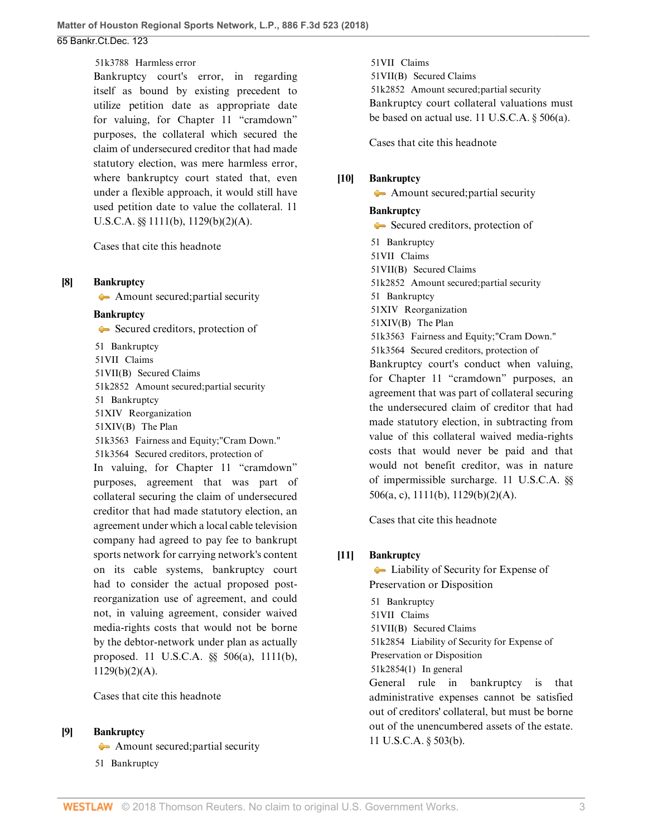[51k3788](http://www.westlaw.com/Browse/Home/KeyNumber/51k3788/View.html?docGuid=Id6fbb8b0338811e8a054a06708233710&originationContext=document&vr=3.0&rs=cblt1.0&transitionType=DocumentItem&contextData=(sc.PubAlert)) Harmless error

Bankruptcy court's error, in regarding itself as bound by existing precedent to utilize petition date as appropriate date for valuing, for Chapter 11 "cramdown" purposes, the collateral which secured the claim of undersecured creditor that had made statutory election, was mere harmless error, where bankruptcy court stated that, even under a flexible approach, it would still have used petition date to value the collateral. [11](http://www.westlaw.com/Link/Document/FullText?findType=L&pubNum=1000546&cite=11USCAS1111&originatingDoc=Id6fbb8b0338811e8a054a06708233710&refType=SP&originationContext=document&vr=3.0&rs=cblt1.0&transitionType=DocumentItem&contextData=(sc.PubAlert)#co_pp_a83b000018c76) [U.S.C.A. §§ 1111\(b\),](http://www.westlaw.com/Link/Document/FullText?findType=L&pubNum=1000546&cite=11USCAS1111&originatingDoc=Id6fbb8b0338811e8a054a06708233710&refType=SP&originationContext=document&vr=3.0&rs=cblt1.0&transitionType=DocumentItem&contextData=(sc.PubAlert)#co_pp_a83b000018c76) [1129\(b\)\(2\)\(A\)](http://www.westlaw.com/Link/Document/FullText?findType=L&pubNum=1000546&cite=11USCAS1129&originatingDoc=Id6fbb8b0338811e8a054a06708233710&refType=SP&originationContext=document&vr=3.0&rs=cblt1.0&transitionType=DocumentItem&contextData=(sc.PubAlert)#co_pp_1eca000045f07).

[Cases that cite this headnote](http://www.westlaw.com/Link/RelatedInformation/DocHeadnoteLink?docGuid=Id6fbb8b0338811e8a054a06708233710&headnoteId=204418166300720180419122142&originationContext=document&vr=3.0&rs=cblt1.0&transitionType=CitingReferences&contextData=(sc.PubAlert))

#### <span id="page-2-0"></span>**[\[8\]](#page-9-2) [Bankruptcy](http://www.westlaw.com/Browse/Home/KeyNumber/51/View.html?docGuid=Id6fbb8b0338811e8a054a06708233710&originationContext=document&vr=3.0&rs=cblt1.0&transitionType=DocumentItem&contextData=(sc.PubAlert))**

[Amount secured; partial security](http://www.westlaw.com/Browse/Home/KeyNumber/51k2852/View.html?docGuid=Id6fbb8b0338811e8a054a06708233710&originationContext=document&vr=3.0&rs=cblt1.0&transitionType=DocumentItem&contextData=(sc.PubAlert))

#### **[Bankruptcy](http://www.westlaw.com/Browse/Home/KeyNumber/51/View.html?docGuid=Id6fbb8b0338811e8a054a06708233710&originationContext=document&vr=3.0&rs=cblt1.0&transitionType=DocumentItem&contextData=(sc.PubAlert))**

[Secured creditors, protection of](http://www.westlaw.com/Browse/Home/KeyNumber/51k3564/View.html?docGuid=Id6fbb8b0338811e8a054a06708233710&originationContext=document&vr=3.0&rs=cblt1.0&transitionType=DocumentItem&contextData=(sc.PubAlert)) [51](http://www.westlaw.com/Browse/Home/KeyNumber/51/View.html?docGuid=Id6fbb8b0338811e8a054a06708233710&originationContext=document&vr=3.0&rs=cblt1.0&transitionType=DocumentItem&contextData=(sc.PubAlert)) Bankruptcy [51VII](http://www.westlaw.com/Browse/Home/KeyNumber/51VII/View.html?docGuid=Id6fbb8b0338811e8a054a06708233710&originationContext=document&vr=3.0&rs=cblt1.0&transitionType=DocumentItem&contextData=(sc.PubAlert)) Claims [51VII\(B\)](http://www.westlaw.com/Browse/Home/KeyNumber/51VII(B)/View.html?docGuid=Id6fbb8b0338811e8a054a06708233710&originationContext=document&vr=3.0&rs=cblt1.0&transitionType=DocumentItem&contextData=(sc.PubAlert)) Secured Claims [51k2852](http://www.westlaw.com/Browse/Home/KeyNumber/51k2852/View.html?docGuid=Id6fbb8b0338811e8a054a06708233710&originationContext=document&vr=3.0&rs=cblt1.0&transitionType=DocumentItem&contextData=(sc.PubAlert)) Amount secured; partial security [51](http://www.westlaw.com/Browse/Home/KeyNumber/51/View.html?docGuid=Id6fbb8b0338811e8a054a06708233710&originationContext=document&vr=3.0&rs=cblt1.0&transitionType=DocumentItem&contextData=(sc.PubAlert)) Bankruptcy [51XIV](http://www.westlaw.com/Browse/Home/KeyNumber/51XIV/View.html?docGuid=Id6fbb8b0338811e8a054a06708233710&originationContext=document&vr=3.0&rs=cblt1.0&transitionType=DocumentItem&contextData=(sc.PubAlert)) Reorganization [51XIV\(B\)](http://www.westlaw.com/Browse/Home/KeyNumber/51XIV(B)/View.html?docGuid=Id6fbb8b0338811e8a054a06708233710&originationContext=document&vr=3.0&rs=cblt1.0&transitionType=DocumentItem&contextData=(sc.PubAlert)) The Plan [51k3563](http://www.westlaw.com/Browse/Home/KeyNumber/51k3563/View.html?docGuid=Id6fbb8b0338811e8a054a06708233710&originationContext=document&vr=3.0&rs=cblt1.0&transitionType=DocumentItem&contextData=(sc.PubAlert)) Fairness and Equity; "Cram Down." [51k3564](http://www.westlaw.com/Browse/Home/KeyNumber/51k3564/View.html?docGuid=Id6fbb8b0338811e8a054a06708233710&originationContext=document&vr=3.0&rs=cblt1.0&transitionType=DocumentItem&contextData=(sc.PubAlert)) Secured creditors, protection of In valuing, for Chapter 11 "cramdown" purposes, agreement that was part of collateral securing the claim of undersecured creditor that had made statutory election, an agreement under which a local cable television company had agreed to pay fee to bankrupt sports network for carrying network's content on its cable systems, bankruptcy court had to consider the actual proposed postreorganization use of agreement, and could not, in valuing agreement, consider waived media-rights costs that would not be borne by the debtor-network under plan as actually proposed. [11 U.S.C.A. §§ 506\(a\)](http://www.westlaw.com/Link/Document/FullText?findType=L&pubNum=1000546&cite=11USCAS506&originatingDoc=Id6fbb8b0338811e8a054a06708233710&refType=SP&originationContext=document&vr=3.0&rs=cblt1.0&transitionType=DocumentItem&contextData=(sc.PubAlert)#co_pp_8b3b0000958a4), [1111\(b\),](http://www.westlaw.com/Link/Document/FullText?findType=L&pubNum=1000546&cite=11USCAS1111&originatingDoc=Id6fbb8b0338811e8a054a06708233710&refType=SP&originationContext=document&vr=3.0&rs=cblt1.0&transitionType=DocumentItem&contextData=(sc.PubAlert)#co_pp_a83b000018c76) [1129\(b\)\(2\)\(A\).](http://www.westlaw.com/Link/Document/FullText?findType=L&pubNum=1000546&cite=11USCAS1129&originatingDoc=Id6fbb8b0338811e8a054a06708233710&refType=SP&originationContext=document&vr=3.0&rs=cblt1.0&transitionType=DocumentItem&contextData=(sc.PubAlert)#co_pp_1eca000045f07)

[Cases that cite this headnote](http://www.westlaw.com/Link/RelatedInformation/DocHeadnoteLink?docGuid=Id6fbb8b0338811e8a054a06708233710&headnoteId=204418166301320180419122142&originationContext=document&vr=3.0&rs=cblt1.0&transitionType=CitingReferences&contextData=(sc.PubAlert))

### <span id="page-2-1"></span>**[\[9\]](#page-9-3) [Bankruptcy](http://www.westlaw.com/Browse/Home/KeyNumber/51/View.html?docGuid=Id6fbb8b0338811e8a054a06708233710&originationContext=document&vr=3.0&rs=cblt1.0&transitionType=DocumentItem&contextData=(sc.PubAlert))**

- [Amount secured; partial security](http://www.westlaw.com/Browse/Home/KeyNumber/51k2852/View.html?docGuid=Id6fbb8b0338811e8a054a06708233710&originationContext=document&vr=3.0&rs=cblt1.0&transitionType=DocumentItem&contextData=(sc.PubAlert))
- [51](http://www.westlaw.com/Browse/Home/KeyNumber/51/View.html?docGuid=Id6fbb8b0338811e8a054a06708233710&originationContext=document&vr=3.0&rs=cblt1.0&transitionType=DocumentItem&contextData=(sc.PubAlert)) Bankruptcy

[51VII](http://www.westlaw.com/Browse/Home/KeyNumber/51VII/View.html?docGuid=Id6fbb8b0338811e8a054a06708233710&originationContext=document&vr=3.0&rs=cblt1.0&transitionType=DocumentItem&contextData=(sc.PubAlert)) Claims [51VII\(B\)](http://www.westlaw.com/Browse/Home/KeyNumber/51VII(B)/View.html?docGuid=Id6fbb8b0338811e8a054a06708233710&originationContext=document&vr=3.0&rs=cblt1.0&transitionType=DocumentItem&contextData=(sc.PubAlert)) Secured Claims [51k2852](http://www.westlaw.com/Browse/Home/KeyNumber/51k2852/View.html?docGuid=Id6fbb8b0338811e8a054a06708233710&originationContext=document&vr=3.0&rs=cblt1.0&transitionType=DocumentItem&contextData=(sc.PubAlert)) Amount secured; partial security Bankruptcy court collateral valuations must be based on actual use. [11 U.S.C.A. § 506\(a\)](http://www.westlaw.com/Link/Document/FullText?findType=L&pubNum=1000546&cite=11USCAS506&originatingDoc=Id6fbb8b0338811e8a054a06708233710&refType=SP&originationContext=document&vr=3.0&rs=cblt1.0&transitionType=DocumentItem&contextData=(sc.PubAlert)#co_pp_8b3b0000958a4).

[Cases that cite this headnote](http://www.westlaw.com/Link/RelatedInformation/DocHeadnoteLink?docGuid=Id6fbb8b0338811e8a054a06708233710&headnoteId=204418166300820180419122142&originationContext=document&vr=3.0&rs=cblt1.0&transitionType=CitingReferences&contextData=(sc.PubAlert))

## <span id="page-2-2"></span>**[\[10\]](#page-10-0) [Bankruptcy](http://www.westlaw.com/Browse/Home/KeyNumber/51/View.html?docGuid=Id6fbb8b0338811e8a054a06708233710&originationContext=document&vr=3.0&rs=cblt1.0&transitionType=DocumentItem&contextData=(sc.PubAlert))**

[Amount secured; partial security](http://www.westlaw.com/Browse/Home/KeyNumber/51k2852/View.html?docGuid=Id6fbb8b0338811e8a054a06708233710&originationContext=document&vr=3.0&rs=cblt1.0&transitionType=DocumentItem&contextData=(sc.PubAlert))

### **[Bankruptcy](http://www.westlaw.com/Browse/Home/KeyNumber/51/View.html?docGuid=Id6fbb8b0338811e8a054a06708233710&originationContext=document&vr=3.0&rs=cblt1.0&transitionType=DocumentItem&contextData=(sc.PubAlert))**

[Secured creditors, protection of](http://www.westlaw.com/Browse/Home/KeyNumber/51k3564/View.html?docGuid=Id6fbb8b0338811e8a054a06708233710&originationContext=document&vr=3.0&rs=cblt1.0&transitionType=DocumentItem&contextData=(sc.PubAlert)) [51](http://www.westlaw.com/Browse/Home/KeyNumber/51/View.html?docGuid=Id6fbb8b0338811e8a054a06708233710&originationContext=document&vr=3.0&rs=cblt1.0&transitionType=DocumentItem&contextData=(sc.PubAlert)) Bankruptcy [51VII](http://www.westlaw.com/Browse/Home/KeyNumber/51VII/View.html?docGuid=Id6fbb8b0338811e8a054a06708233710&originationContext=document&vr=3.0&rs=cblt1.0&transitionType=DocumentItem&contextData=(sc.PubAlert)) Claims [51VII\(B\)](http://www.westlaw.com/Browse/Home/KeyNumber/51VII(B)/View.html?docGuid=Id6fbb8b0338811e8a054a06708233710&originationContext=document&vr=3.0&rs=cblt1.0&transitionType=DocumentItem&contextData=(sc.PubAlert)) Secured Claims [51k2852](http://www.westlaw.com/Browse/Home/KeyNumber/51k2852/View.html?docGuid=Id6fbb8b0338811e8a054a06708233710&originationContext=document&vr=3.0&rs=cblt1.0&transitionType=DocumentItem&contextData=(sc.PubAlert)) Amount secured; partial security [51](http://www.westlaw.com/Browse/Home/KeyNumber/51/View.html?docGuid=Id6fbb8b0338811e8a054a06708233710&originationContext=document&vr=3.0&rs=cblt1.0&transitionType=DocumentItem&contextData=(sc.PubAlert)) Bankruptcy [51XIV](http://www.westlaw.com/Browse/Home/KeyNumber/51XIV/View.html?docGuid=Id6fbb8b0338811e8a054a06708233710&originationContext=document&vr=3.0&rs=cblt1.0&transitionType=DocumentItem&contextData=(sc.PubAlert)) Reorganization [51XIV\(B\)](http://www.westlaw.com/Browse/Home/KeyNumber/51XIV(B)/View.html?docGuid=Id6fbb8b0338811e8a054a06708233710&originationContext=document&vr=3.0&rs=cblt1.0&transitionType=DocumentItem&contextData=(sc.PubAlert)) The Plan [51k3563](http://www.westlaw.com/Browse/Home/KeyNumber/51k3563/View.html?docGuid=Id6fbb8b0338811e8a054a06708233710&originationContext=document&vr=3.0&rs=cblt1.0&transitionType=DocumentItem&contextData=(sc.PubAlert)) Fairness and Equity; "Cram Down." [51k3564](http://www.westlaw.com/Browse/Home/KeyNumber/51k3564/View.html?docGuid=Id6fbb8b0338811e8a054a06708233710&originationContext=document&vr=3.0&rs=cblt1.0&transitionType=DocumentItem&contextData=(sc.PubAlert)) Secured creditors, protection of Bankruptcy court's conduct when valuing, for Chapter 11 "cramdown" purposes, an agreement that was part of collateral securing the undersecured claim of creditor that had made statutory election, in subtracting from value of this collateral waived media-rights costs that would never be paid and that would not benefit creditor, was in nature of impermissible surcharge. [11 U.S.C.A. §§](http://www.westlaw.com/Link/Document/FullText?findType=L&pubNum=1000546&cite=11USCAS506&originatingDoc=Id6fbb8b0338811e8a054a06708233710&refType=LQ&originationContext=document&vr=3.0&rs=cblt1.0&transitionType=DocumentItem&contextData=(sc.PubAlert)) [506\(a, c\),](http://www.westlaw.com/Link/Document/FullText?findType=L&pubNum=1000546&cite=11USCAS506&originatingDoc=Id6fbb8b0338811e8a054a06708233710&refType=LQ&originationContext=document&vr=3.0&rs=cblt1.0&transitionType=DocumentItem&contextData=(sc.PubAlert)) [1111\(b\)](http://www.westlaw.com/Link/Document/FullText?findType=L&pubNum=1000546&cite=11USCAS1111&originatingDoc=Id6fbb8b0338811e8a054a06708233710&refType=SP&originationContext=document&vr=3.0&rs=cblt1.0&transitionType=DocumentItem&contextData=(sc.PubAlert)#co_pp_a83b000018c76), [1129\(b\)\(2\)\(A\).](http://www.westlaw.com/Link/Document/FullText?findType=L&pubNum=1000546&cite=11USCAS1129&originatingDoc=Id6fbb8b0338811e8a054a06708233710&refType=SP&originationContext=document&vr=3.0&rs=cblt1.0&transitionType=DocumentItem&contextData=(sc.PubAlert)#co_pp_1eca000045f07)

[Cases that cite this headnote](http://www.westlaw.com/Link/RelatedInformation/DocHeadnoteLink?docGuid=Id6fbb8b0338811e8a054a06708233710&headnoteId=204418166300920180419122142&originationContext=document&vr=3.0&rs=cblt1.0&transitionType=CitingReferences&contextData=(sc.PubAlert))

## <span id="page-2-3"></span>**[\[11\]](#page-10-1) [Bankruptcy](http://www.westlaw.com/Browse/Home/KeyNumber/51/View.html?docGuid=Id6fbb8b0338811e8a054a06708233710&originationContext=document&vr=3.0&rs=cblt1.0&transitionType=DocumentItem&contextData=(sc.PubAlert))**

**[Liability of Security for Expense of](http://www.westlaw.com/Browse/Home/KeyNumber/51k2854/View.html?docGuid=Id6fbb8b0338811e8a054a06708233710&originationContext=document&vr=3.0&rs=cblt1.0&transitionType=DocumentItem&contextData=(sc.PubAlert))** [Preservation or Disposition](http://www.westlaw.com/Browse/Home/KeyNumber/51k2854/View.html?docGuid=Id6fbb8b0338811e8a054a06708233710&originationContext=document&vr=3.0&rs=cblt1.0&transitionType=DocumentItem&contextData=(sc.PubAlert)) [51](http://www.westlaw.com/Browse/Home/KeyNumber/51/View.html?docGuid=Id6fbb8b0338811e8a054a06708233710&originationContext=document&vr=3.0&rs=cblt1.0&transitionType=DocumentItem&contextData=(sc.PubAlert)) Bankruptcy [51VII](http://www.westlaw.com/Browse/Home/KeyNumber/51VII/View.html?docGuid=Id6fbb8b0338811e8a054a06708233710&originationContext=document&vr=3.0&rs=cblt1.0&transitionType=DocumentItem&contextData=(sc.PubAlert)) Claims [51VII\(B\)](http://www.westlaw.com/Browse/Home/KeyNumber/51VII(B)/View.html?docGuid=Id6fbb8b0338811e8a054a06708233710&originationContext=document&vr=3.0&rs=cblt1.0&transitionType=DocumentItem&contextData=(sc.PubAlert)) Secured Claims [51k2854](http://www.westlaw.com/Browse/Home/KeyNumber/51k2854/View.html?docGuid=Id6fbb8b0338811e8a054a06708233710&originationContext=document&vr=3.0&rs=cblt1.0&transitionType=DocumentItem&contextData=(sc.PubAlert)) Liability of Security for Expense of Preservation or Disposition [51k2854\(1\)](http://www.westlaw.com/Browse/Home/KeyNumber/51k2854(1)/View.html?docGuid=Id6fbb8b0338811e8a054a06708233710&originationContext=document&vr=3.0&rs=cblt1.0&transitionType=DocumentItem&contextData=(sc.PubAlert)) In general General rule in bankruptcy is that administrative expenses cannot be satisfied out of creditors' collateral, but must be borne out of the unencumbered assets of the estate. [11 U.S.C.A. § 503\(b\).](http://www.westlaw.com/Link/Document/FullText?findType=L&pubNum=1000546&cite=11USCAS503&originatingDoc=Id6fbb8b0338811e8a054a06708233710&refType=SP&originationContext=document&vr=3.0&rs=cblt1.0&transitionType=DocumentItem&contextData=(sc.PubAlert)#co_pp_a83b000018c76)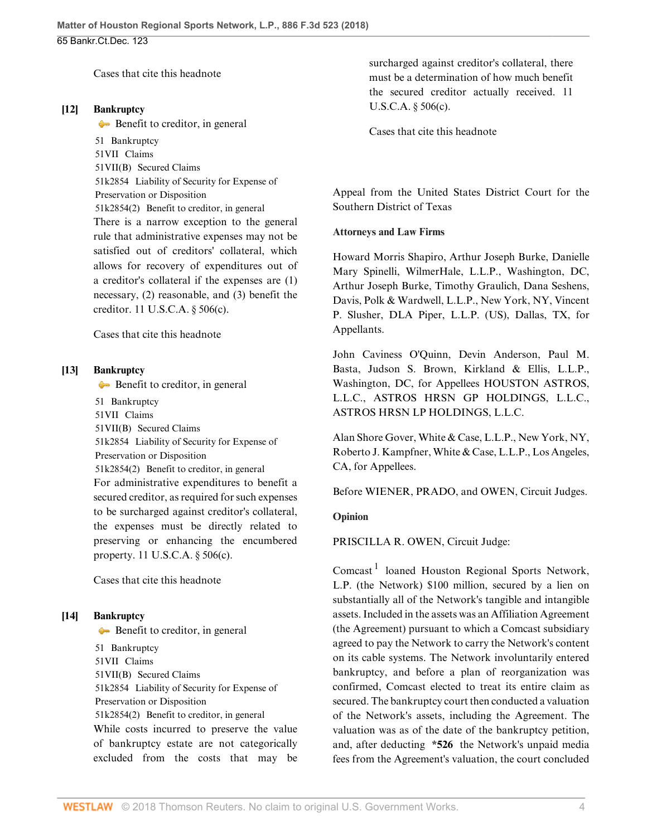[Cases that cite this headnote](http://www.westlaw.com/Link/RelatedInformation/DocHeadnoteLink?docGuid=Id6fbb8b0338811e8a054a06708233710&headnoteId=204418166301020180419122142&originationContext=document&vr=3.0&rs=cblt1.0&transitionType=CitingReferences&contextData=(sc.PubAlert))

#### <span id="page-3-1"></span>**[\[12\]](#page-10-2) [Bankruptcy](http://www.westlaw.com/Browse/Home/KeyNumber/51/View.html?docGuid=Id6fbb8b0338811e8a054a06708233710&originationContext=document&vr=3.0&rs=cblt1.0&transitionType=DocumentItem&contextData=(sc.PubAlert))**

[Benefit to creditor, in general](http://www.westlaw.com/Browse/Home/KeyNumber/51k2854(2)/View.html?docGuid=Id6fbb8b0338811e8a054a06708233710&originationContext=document&vr=3.0&rs=cblt1.0&transitionType=DocumentItem&contextData=(sc.PubAlert))

[51](http://www.westlaw.com/Browse/Home/KeyNumber/51/View.html?docGuid=Id6fbb8b0338811e8a054a06708233710&originationContext=document&vr=3.0&rs=cblt1.0&transitionType=DocumentItem&contextData=(sc.PubAlert)) Bankruptcy [51VII](http://www.westlaw.com/Browse/Home/KeyNumber/51VII/View.html?docGuid=Id6fbb8b0338811e8a054a06708233710&originationContext=document&vr=3.0&rs=cblt1.0&transitionType=DocumentItem&contextData=(sc.PubAlert)) Claims [51VII\(B\)](http://www.westlaw.com/Browse/Home/KeyNumber/51VII(B)/View.html?docGuid=Id6fbb8b0338811e8a054a06708233710&originationContext=document&vr=3.0&rs=cblt1.0&transitionType=DocumentItem&contextData=(sc.PubAlert)) Secured Claims [51k2854](http://www.westlaw.com/Browse/Home/KeyNumber/51k2854/View.html?docGuid=Id6fbb8b0338811e8a054a06708233710&originationContext=document&vr=3.0&rs=cblt1.0&transitionType=DocumentItem&contextData=(sc.PubAlert)) Liability of Security for Expense of Preservation or Disposition [51k2854\(2\)](http://www.westlaw.com/Browse/Home/KeyNumber/51k2854(2)/View.html?docGuid=Id6fbb8b0338811e8a054a06708233710&originationContext=document&vr=3.0&rs=cblt1.0&transitionType=DocumentItem&contextData=(sc.PubAlert)) Benefit to creditor, in general There is a narrow exception to the general rule that administrative expenses may not be satisfied out of creditors' collateral, which allows for recovery of expenditures out of a creditor's collateral if the expenses are (1) necessary, (2) reasonable, and (3) benefit the creditor. [11 U.S.C.A. § 506\(c\)](http://www.westlaw.com/Link/Document/FullText?findType=L&pubNum=1000546&cite=11USCAS506&originatingDoc=Id6fbb8b0338811e8a054a06708233710&refType=SP&originationContext=document&vr=3.0&rs=cblt1.0&transitionType=DocumentItem&contextData=(sc.PubAlert)#co_pp_4b24000003ba5).

[Cases that cite this headnote](http://www.westlaw.com/Link/RelatedInformation/DocHeadnoteLink?docGuid=Id6fbb8b0338811e8a054a06708233710&headnoteId=204418166301420180419122142&originationContext=document&vr=3.0&rs=cblt1.0&transitionType=CitingReferences&contextData=(sc.PubAlert))

### <span id="page-3-2"></span>**[\[13\]](#page-10-3) [Bankruptcy](http://www.westlaw.com/Browse/Home/KeyNumber/51/View.html?docGuid=Id6fbb8b0338811e8a054a06708233710&originationContext=document&vr=3.0&rs=cblt1.0&transitionType=DocumentItem&contextData=(sc.PubAlert))**

[Benefit to creditor, in general](http://www.westlaw.com/Browse/Home/KeyNumber/51k2854(2)/View.html?docGuid=Id6fbb8b0338811e8a054a06708233710&originationContext=document&vr=3.0&rs=cblt1.0&transitionType=DocumentItem&contextData=(sc.PubAlert))

[51](http://www.westlaw.com/Browse/Home/KeyNumber/51/View.html?docGuid=Id6fbb8b0338811e8a054a06708233710&originationContext=document&vr=3.0&rs=cblt1.0&transitionType=DocumentItem&contextData=(sc.PubAlert)) Bankruptcy

[51VII](http://www.westlaw.com/Browse/Home/KeyNumber/51VII/View.html?docGuid=Id6fbb8b0338811e8a054a06708233710&originationContext=document&vr=3.0&rs=cblt1.0&transitionType=DocumentItem&contextData=(sc.PubAlert)) Claims

[51VII\(B\)](http://www.westlaw.com/Browse/Home/KeyNumber/51VII(B)/View.html?docGuid=Id6fbb8b0338811e8a054a06708233710&originationContext=document&vr=3.0&rs=cblt1.0&transitionType=DocumentItem&contextData=(sc.PubAlert)) Secured Claims

[51k2854](http://www.westlaw.com/Browse/Home/KeyNumber/51k2854/View.html?docGuid=Id6fbb8b0338811e8a054a06708233710&originationContext=document&vr=3.0&rs=cblt1.0&transitionType=DocumentItem&contextData=(sc.PubAlert)) Liability of Security for Expense of

Preservation or Disposition

[51k2854\(2\)](http://www.westlaw.com/Browse/Home/KeyNumber/51k2854(2)/View.html?docGuid=Id6fbb8b0338811e8a054a06708233710&originationContext=document&vr=3.0&rs=cblt1.0&transitionType=DocumentItem&contextData=(sc.PubAlert)) Benefit to creditor, in general For administrative expenditures to benefit a secured creditor, as required for such expenses to be surcharged against creditor's collateral, the expenses must be directly related to preserving or enhancing the encumbered property. [11 U.S.C.A. § 506\(c\).](http://www.westlaw.com/Link/Document/FullText?findType=L&pubNum=1000546&cite=11USCAS506&originatingDoc=Id6fbb8b0338811e8a054a06708233710&refType=SP&originationContext=document&vr=3.0&rs=cblt1.0&transitionType=DocumentItem&contextData=(sc.PubAlert)#co_pp_4b24000003ba5)

[Cases that cite this headnote](http://www.westlaw.com/Link/RelatedInformation/DocHeadnoteLink?docGuid=Id6fbb8b0338811e8a054a06708233710&headnoteId=204418166301120180419122142&originationContext=document&vr=3.0&rs=cblt1.0&transitionType=CitingReferences&contextData=(sc.PubAlert))

### <span id="page-3-3"></span>**[\[14\]](#page-10-4) [Bankruptcy](http://www.westlaw.com/Browse/Home/KeyNumber/51/View.html?docGuid=Id6fbb8b0338811e8a054a06708233710&originationContext=document&vr=3.0&rs=cblt1.0&transitionType=DocumentItem&contextData=(sc.PubAlert))**

[Benefit to creditor, in general](http://www.westlaw.com/Browse/Home/KeyNumber/51k2854(2)/View.html?docGuid=Id6fbb8b0338811e8a054a06708233710&originationContext=document&vr=3.0&rs=cblt1.0&transitionType=DocumentItem&contextData=(sc.PubAlert)) [51](http://www.westlaw.com/Browse/Home/KeyNumber/51/View.html?docGuid=Id6fbb8b0338811e8a054a06708233710&originationContext=document&vr=3.0&rs=cblt1.0&transitionType=DocumentItem&contextData=(sc.PubAlert)) Bankruptcy [51VII](http://www.westlaw.com/Browse/Home/KeyNumber/51VII/View.html?docGuid=Id6fbb8b0338811e8a054a06708233710&originationContext=document&vr=3.0&rs=cblt1.0&transitionType=DocumentItem&contextData=(sc.PubAlert)) Claims [51VII\(B\)](http://www.westlaw.com/Browse/Home/KeyNumber/51VII(B)/View.html?docGuid=Id6fbb8b0338811e8a054a06708233710&originationContext=document&vr=3.0&rs=cblt1.0&transitionType=DocumentItem&contextData=(sc.PubAlert)) Secured Claims [51k2854](http://www.westlaw.com/Browse/Home/KeyNumber/51k2854/View.html?docGuid=Id6fbb8b0338811e8a054a06708233710&originationContext=document&vr=3.0&rs=cblt1.0&transitionType=DocumentItem&contextData=(sc.PubAlert)) Liability of Security for Expense of Preservation or Disposition [51k2854\(2\)](http://www.westlaw.com/Browse/Home/KeyNumber/51k2854(2)/View.html?docGuid=Id6fbb8b0338811e8a054a06708233710&originationContext=document&vr=3.0&rs=cblt1.0&transitionType=DocumentItem&contextData=(sc.PubAlert)) Benefit to creditor, in general While costs incurred to preserve the value of bankruptcy estate are not categorically excluded from the costs that may be surcharged against creditor's collateral, there must be a determination of how much benefit the secured creditor actually received. [11](http://www.westlaw.com/Link/Document/FullText?findType=L&pubNum=1000546&cite=11USCAS506&originatingDoc=Id6fbb8b0338811e8a054a06708233710&refType=SP&originationContext=document&vr=3.0&rs=cblt1.0&transitionType=DocumentItem&contextData=(sc.PubAlert)#co_pp_4b24000003ba5) [U.S.C.A. § 506\(c\).](http://www.westlaw.com/Link/Document/FullText?findType=L&pubNum=1000546&cite=11USCAS506&originatingDoc=Id6fbb8b0338811e8a054a06708233710&refType=SP&originationContext=document&vr=3.0&rs=cblt1.0&transitionType=DocumentItem&contextData=(sc.PubAlert)#co_pp_4b24000003ba5)

[Cases that cite this headnote](http://www.westlaw.com/Link/RelatedInformation/DocHeadnoteLink?docGuid=Id6fbb8b0338811e8a054a06708233710&headnoteId=204418166301220180419122142&originationContext=document&vr=3.0&rs=cblt1.0&transitionType=CitingReferences&contextData=(sc.PubAlert))

Appeal from the United States District Court for the Southern District of Texas

#### **Attorneys and Law Firms**

[Howard Morris Shapiro,](http://www.westlaw.com/Link/Document/FullText?findType=h&pubNum=176284&cite=0261315901&originatingDoc=Id6fbb8b0338811e8a054a06708233710&refType=RQ&originationContext=document&vr=3.0&rs=cblt1.0&transitionType=DocumentItem&contextData=(sc.PubAlert)) [Arthur Joseph Burke,](http://www.westlaw.com/Link/Document/FullText?findType=h&pubNum=176284&cite=0242617501&originatingDoc=Id6fbb8b0338811e8a054a06708233710&refType=RQ&originationContext=document&vr=3.0&rs=cblt1.0&transitionType=DocumentItem&contextData=(sc.PubAlert)) [Danielle](http://www.westlaw.com/Link/Document/FullText?findType=h&pubNum=176284&cite=0329906201&originatingDoc=Id6fbb8b0338811e8a054a06708233710&refType=RQ&originationContext=document&vr=3.0&rs=cblt1.0&transitionType=DocumentItem&contextData=(sc.PubAlert)) [Mary Spinelli,](http://www.westlaw.com/Link/Document/FullText?findType=h&pubNum=176284&cite=0329906201&originatingDoc=Id6fbb8b0338811e8a054a06708233710&refType=RQ&originationContext=document&vr=3.0&rs=cblt1.0&transitionType=DocumentItem&contextData=(sc.PubAlert)) WilmerHale, L.L.P., Washington, DC, [Arthur Joseph Burke,](http://www.westlaw.com/Link/Document/FullText?findType=h&pubNum=176284&cite=0242617501&originatingDoc=Id6fbb8b0338811e8a054a06708233710&refType=RQ&originationContext=document&vr=3.0&rs=cblt1.0&transitionType=DocumentItem&contextData=(sc.PubAlert)) [Timothy Graulich,](http://www.westlaw.com/Link/Document/FullText?findType=h&pubNum=176284&cite=0325229001&originatingDoc=Id6fbb8b0338811e8a054a06708233710&refType=RQ&originationContext=document&vr=3.0&rs=cblt1.0&transitionType=DocumentItem&contextData=(sc.PubAlert)) [Dana Seshens](http://www.westlaw.com/Link/Document/FullText?findType=h&pubNum=176284&cite=0334339701&originatingDoc=Id6fbb8b0338811e8a054a06708233710&refType=RQ&originationContext=document&vr=3.0&rs=cblt1.0&transitionType=DocumentItem&contextData=(sc.PubAlert)), Davis, Polk & Wardwell, L.L.P., New York, NY, [Vincent](http://www.westlaw.com/Link/Document/FullText?findType=h&pubNum=176284&cite=0294108801&originatingDoc=Id6fbb8b0338811e8a054a06708233710&refType=RQ&originationContext=document&vr=3.0&rs=cblt1.0&transitionType=DocumentItem&contextData=(sc.PubAlert)) [P. Slusher](http://www.westlaw.com/Link/Document/FullText?findType=h&pubNum=176284&cite=0294108801&originatingDoc=Id6fbb8b0338811e8a054a06708233710&refType=RQ&originationContext=document&vr=3.0&rs=cblt1.0&transitionType=DocumentItem&contextData=(sc.PubAlert)), DLA Piper, L.L.P. (US), Dallas, TX, for Appellants.

[John Caviness O'Quinn](http://www.westlaw.com/Link/Document/FullText?findType=h&pubNum=176284&cite=0363332101&originatingDoc=Id6fbb8b0338811e8a054a06708233710&refType=RQ&originationContext=document&vr=3.0&rs=cblt1.0&transitionType=DocumentItem&contextData=(sc.PubAlert)), [Devin Anderson](http://www.westlaw.com/Link/Document/FullText?findType=h&pubNum=176284&cite=0488931199&originatingDoc=Id6fbb8b0338811e8a054a06708233710&refType=RQ&originationContext=document&vr=3.0&rs=cblt1.0&transitionType=DocumentItem&contextData=(sc.PubAlert)), [Paul M.](http://www.westlaw.com/Link/Document/FullText?findType=h&pubNum=176284&cite=0243218601&originatingDoc=Id6fbb8b0338811e8a054a06708233710&refType=RQ&originationContext=document&vr=3.0&rs=cblt1.0&transitionType=DocumentItem&contextData=(sc.PubAlert)) [Basta,](http://www.westlaw.com/Link/Document/FullText?findType=h&pubNum=176284&cite=0243218601&originatingDoc=Id6fbb8b0338811e8a054a06708233710&refType=RQ&originationContext=document&vr=3.0&rs=cblt1.0&transitionType=DocumentItem&contextData=(sc.PubAlert)) [Judson S. Brown](http://www.westlaw.com/Link/Document/FullText?findType=h&pubNum=176284&cite=0358542101&originatingDoc=Id6fbb8b0338811e8a054a06708233710&refType=RQ&originationContext=document&vr=3.0&rs=cblt1.0&transitionType=DocumentItem&contextData=(sc.PubAlert)), Kirkland & Ellis, L.L.P., Washington, DC, for Appellees HOUSTON ASTROS, L.L.C., ASTROS HRSN GP HOLDINGS, L.L.C., ASTROS HRSN LP HOLDINGS, L.L.C.

[Alan Shore Gover](http://www.westlaw.com/Link/Document/FullText?findType=h&pubNum=176284&cite=0185406401&originatingDoc=Id6fbb8b0338811e8a054a06708233710&refType=RQ&originationContext=document&vr=3.0&rs=cblt1.0&transitionType=DocumentItem&contextData=(sc.PubAlert)), White & Case, L.L.P., New York, NY, [Roberto J. Kampfner,](http://www.westlaw.com/Link/Document/FullText?findType=h&pubNum=176284&cite=0140495301&originatingDoc=Id6fbb8b0338811e8a054a06708233710&refType=RQ&originationContext=document&vr=3.0&rs=cblt1.0&transitionType=DocumentItem&contextData=(sc.PubAlert)) White & Case, L.L.P., Los Angeles, CA, for Appellees.

Before [WIENER,](http://www.westlaw.com/Link/Document/FullText?findType=h&pubNum=176284&cite=0226128401&originatingDoc=Id6fbb8b0338811e8a054a06708233710&refType=RQ&originationContext=document&vr=3.0&rs=cblt1.0&transitionType=DocumentItem&contextData=(sc.PubAlert)) [PRADO](http://www.westlaw.com/Link/Document/FullText?findType=h&pubNum=176284&cite=0197176801&originatingDoc=Id6fbb8b0338811e8a054a06708233710&refType=RQ&originationContext=document&vr=3.0&rs=cblt1.0&transitionType=DocumentItem&contextData=(sc.PubAlert)), and [OWEN,](http://www.westlaw.com/Link/Document/FullText?findType=h&pubNum=176284&cite=0101497701&originatingDoc=Id6fbb8b0338811e8a054a06708233710&refType=RQ&originationContext=document&vr=3.0&rs=cblt1.0&transitionType=DocumentItem&contextData=(sc.PubAlert)) Circuit Judges.

## **Opinion**

[PRISCILLA R. OWEN](http://www.westlaw.com/Link/Document/FullText?findType=h&pubNum=176284&cite=0101497701&originatingDoc=Id6fbb8b0338811e8a054a06708233710&refType=RQ&originationContext=document&vr=3.0&rs=cblt1.0&transitionType=DocumentItem&contextData=(sc.PubAlert)), Circuit Judge:

<span id="page-3-0"></span>Comcast<sup>[1](#page-4-1)</sup> loaned Houston Regional Sports Network, L.P. (the Network) \$100 million, secured by a lien on substantially all of the Network's tangible and intangible assets. Included in the assets was an Affiliation Agreement (the Agreement) pursuant to which a Comcast subsidiary agreed to pay the Network to carry the Network's content on its cable systems. The Network involuntarily entered bankruptcy, and before a plan of reorganization was confirmed, Comcast elected to treat its entire claim as secured. The bankruptcy court then conducted a valuation of the Network's assets, including the Agreement. The valuation was as of the date of the bankruptcy petition, and, after deducting **\*526** the Network's unpaid media fees from the Agreement's valuation, the court concluded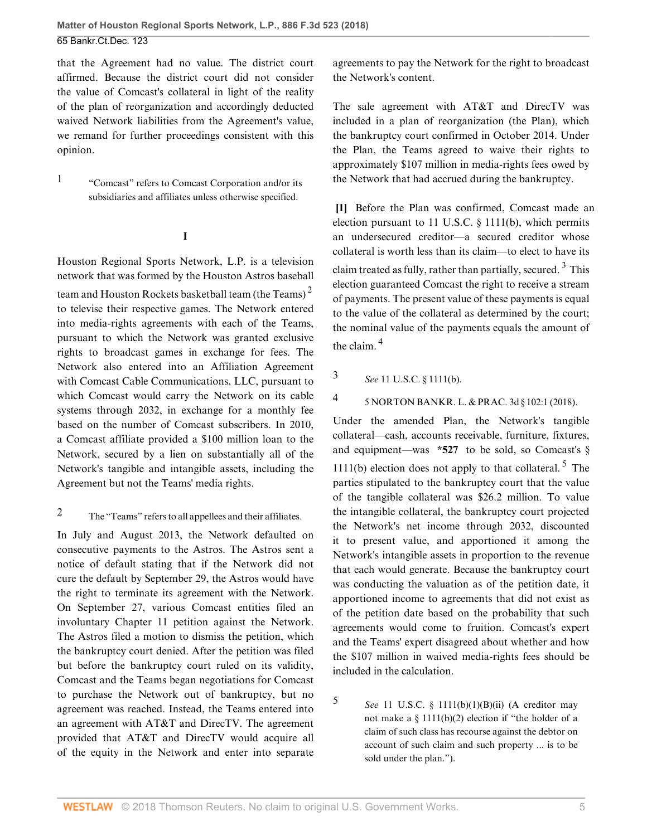that the Agreement had no value. The district court affirmed. Because the district court did not consider the value of Comcast's collateral in light of the reality of the plan of reorganization and accordingly deducted waived Network liabilities from the Agreement's value, we remand for further proceedings consistent with this opinion.

<span id="page-4-1"></span>[1](#page-3-0) "Comcast" refers to Comcast Corporation and/or its subsidiaries and affiliates unless otherwise specified.

**I**

Houston Regional Sports Network, L.P. is a television network that was formed by the Houston Astros baseball team and Houston Rockets basketball team (the Teams)<sup>[2](#page-4-2)</sup> to televise their respective games. The Network entered into media-rights agreements with each of the Teams, pursuant to which the Network was granted exclusive rights to broadcast games in exchange for fees. The Network also entered into an Affiliation Agreement with Comcast Cable Communications, LLC, pursuant to which Comcast would carry the Network on its cable systems through 2032, in exchange for a monthly fee based on the number of Comcast subscribers. In 2010, a Comcast affiliate provided a \$100 million loan to the Network, secured by a lien on substantially all of the Network's tangible and intangible assets, including the Agreement but not the Teams' media rights.

<span id="page-4-2"></span>[2](#page-4-3) The "Teams" refers to all appellees and their affiliates.

In July and August 2013, the Network defaulted on consecutive payments to the Astros. The Astros sent a notice of default stating that if the Network did not cure the default by September 29, the Astros would have the right to terminate its agreement with the Network. On September 27, various Comcast entities filed an involuntary Chapter 11 petition against the Network. The Astros filed a motion to dismiss the petition, which the bankruptcy court denied. After the petition was filed but before the bankruptcy court ruled on its validity, Comcast and the Teams began negotiations for Comcast to purchase the Network out of bankruptcy, but no agreement was reached. Instead, the Teams entered into an agreement with AT&T and DirecTV. The agreement provided that AT&T and DirecTV would acquire all of the equity in the Network and enter into separate agreements to pay the Network for the right to broadcast the Network's content.

The sale agreement with AT&T and DirecTV was included in a plan of reorganization (the Plan), which the bankruptcy court confirmed in October 2014. Under the Plan, the Teams agreed to waive their rights to approximately \$107 million in media-rights fees owed by the Network that had accrued during the bankruptcy.

<span id="page-4-6"></span><span id="page-4-3"></span><span id="page-4-0"></span>**[\[1](#page-0-0)]** Before the Plan was confirmed, Comcast made an election pursuant to [11 U.S.C. § 1111\(b\)](http://www.westlaw.com/Link/Document/FullText?findType=L&pubNum=1000546&cite=11USCAS1111&originatingDoc=Id6fbb8b0338811e8a054a06708233710&refType=SP&originationContext=document&vr=3.0&rs=cblt1.0&transitionType=DocumentItem&contextData=(sc.PubAlert)#co_pp_a83b000018c76), which permits an undersecured creditor—a secured creditor whose collateral is worth less than its claim—to elect to have its claim treated as fully, rather than partially, secured.<sup>[3](#page-4-4)</sup> This election guaranteed Comcast the right to receive a stream of payments. The present value of these payments is equal to the value of the collateral as determined by the court; the nominal value of the payments equals the amount of the claim. [4](#page-4-5)

<span id="page-4-7"></span><span id="page-4-4"></span>[3](#page-4-6) *See* [11 U.S.C. § 1111\(b\).](http://www.westlaw.com/Link/Document/FullText?findType=L&pubNum=1000546&cite=11USCAS1111&originatingDoc=Id6fbb8b0338811e8a054a06708233710&refType=SP&originationContext=document&vr=3.0&rs=cblt1.0&transitionType=DocumentItem&contextData=(sc.PubAlert)#co_pp_a83b000018c76)

<span id="page-4-5"></span>[4](#page-4-7) [5 NORTON BANKR. L. & PRAC. 3d § 102:1 \(2018\).](http://www.westlaw.com/Link/Document/FullText?findType=Y&serNum=0283618392&pubNum=0113189&originatingDoc=Id6fbb8b0338811e8a054a06708233710&refType=TS&originationContext=document&vr=3.0&rs=cblt1.0&transitionType=DocumentItem&contextData=(sc.PubAlert))

<span id="page-4-9"></span>Under the amended Plan, the Network's tangible collateral—cash, accounts receivable, furniture, fixtures, and equipment—was  $*527$  to be sold, so Comcast's [§](http://www.westlaw.com/Link/Document/FullText?findType=L&pubNum=1000546&cite=11USCAS1111&originatingDoc=Id6fbb8b0338811e8a054a06708233710&refType=SP&originationContext=document&vr=3.0&rs=cblt1.0&transitionType=DocumentItem&contextData=(sc.PubAlert)#co_pp_a83b000018c76) [1111\(b\)](http://www.westlaw.com/Link/Document/FullText?findType=L&pubNum=1000546&cite=11USCAS1111&originatingDoc=Id6fbb8b0338811e8a054a06708233710&refType=SP&originationContext=document&vr=3.0&rs=cblt1.0&transitionType=DocumentItem&contextData=(sc.PubAlert)#co_pp_a83b000018c76) election does not apply to that collateral.<sup>[5](#page-4-8)</sup> The parties stipulated to the bankruptcy court that the value of the tangible collateral was \$26.2 million. To value the intangible collateral, the bankruptcy court projected the Network's net income through 2032, discounted it to present value, and apportioned it among the Network's intangible assets in proportion to the revenue that each would generate. Because the bankruptcy court was conducting the valuation as of the petition date, it apportioned income to agreements that did not exist as of the petition date based on the probability that such agreements would come to fruition. Comcast's expert and the Teams' expert disagreed about whether and how the \$107 million in waived media-rights fees should be included in the calculation.

<span id="page-4-8"></span>[5](#page-4-9) *See* [11 U.S.C. § 1111\(b\)\(1\)\(B\)\(ii\)](http://www.westlaw.com/Link/Document/FullText?findType=L&pubNum=1000546&cite=11USCAS1111&originatingDoc=Id6fbb8b0338811e8a054a06708233710&refType=SP&originationContext=document&vr=3.0&rs=cblt1.0&transitionType=DocumentItem&contextData=(sc.PubAlert)#co_pp_ac8800005e040) (A creditor may not make a  $\S$  1111(b)(2) election if "the holder of a claim of such class has recourse against the debtor on account of such claim and such property ... is to be sold under the plan.").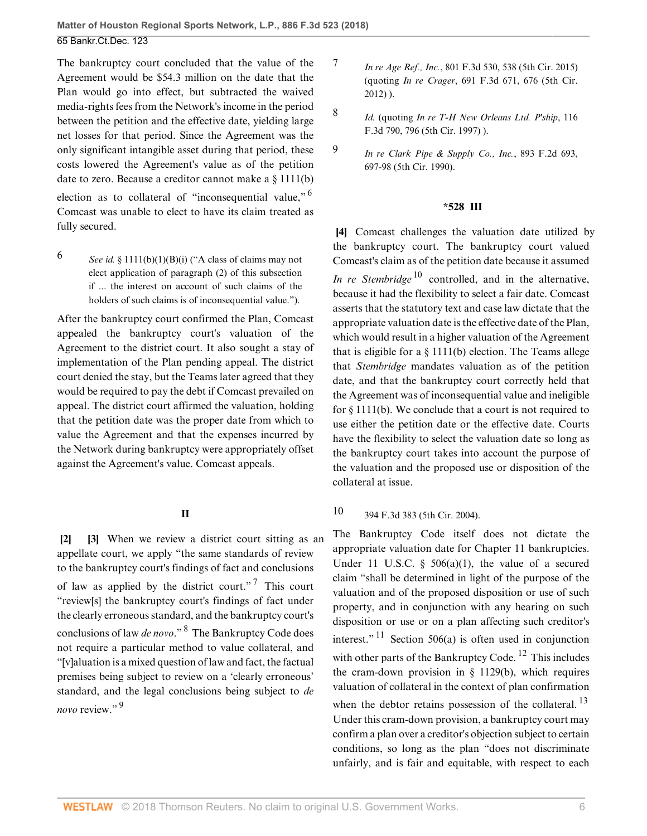The bankruptcy court concluded that the value of the Agreement would be \$54.3 million on the date that the Plan would go into effect, but subtracted the waived media-rights fees from the Network's income in the period between the petition and the effective date, yielding large net losses for that period. Since the Agreement was the only significant intangible asset during that period, these costs lowered the Agreement's value as of the petition date to zero. Because a creditor cannot make a [§ 1111\(b\)](http://www.westlaw.com/Link/Document/FullText?findType=L&pubNum=1000546&cite=11USCAS1111&originatingDoc=Id6fbb8b0338811e8a054a06708233710&refType=SP&originationContext=document&vr=3.0&rs=cblt1.0&transitionType=DocumentItem&contextData=(sc.PubAlert)#co_pp_a83b000018c76) election as to collateral of "inconsequential value," [6](#page-5-3) Comcast was unable to elect to have its claim treated as fully secured.

<span id="page-5-3"></span>[6](#page-5-4) *See id.* § 1111(b)(1)(B)(i) ("A class of claims may not elect application of paragraph (2) of this subsection if ... the interest on account of such claims of the holders of such claims is of inconsequential value.").

After the bankruptcy court confirmed the Plan, Comcast appealed the bankruptcy court's valuation of the Agreement to the district court. It also sought a stay of implementation of the Plan pending appeal. The district court denied the stay, but the Teams later agreed that they would be required to pay the debt if Comcast prevailed on appeal. The district court affirmed the valuation, holding that the petition date was the proper date from which to value the Agreement and that the expenses incurred by the Network during bankruptcy were appropriately offset against the Agreement's value. Comcast appeals.

### <span id="page-5-9"></span>**II**

<span id="page-5-10"></span><span id="page-5-1"></span><span id="page-5-0"></span>**[\[2](#page-0-1)] [\[3\]](#page-1-2)** When we review a district court sitting as an appellate court, we apply "the same standards of review to the bankruptcy court's findings of fact and conclusions of law as applied by the district court."<sup>[7](#page-5-5)</sup> This court "review[s] the bankruptcy court's findings of fact under the clearly erroneous standard, and the bankruptcy court's conclusions of law *de novo*." [8](#page-5-6) The Bankruptcy Code does not require a particular method to value collateral, and "[v]aluation is a mixed question of law and fact, the factual premises being subject to review on a 'clearly erroneous' standard, and the legal conclusions being subject to *de novo* review."<sup>[9](#page-5-7)</sup>

- <span id="page-5-5"></span>[7](#page-5-8) *In re Age Ref., Inc.*[, 801 F.3d 530, 538 \(5th Cir. 2015\)](http://www.westlaw.com/Link/Document/FullText?findType=Y&serNum=2037177550&pubNum=0000506&originatingDoc=Id6fbb8b0338811e8a054a06708233710&refType=RP&fi=co_pp_sp_506_538&originationContext=document&vr=3.0&rs=cblt1.0&transitionType=DocumentItem&contextData=(sc.PubAlert)#co_pp_sp_506_538) (quoting *In re Crager*[, 691 F.3d 671, 676 \(5th Cir.](http://www.westlaw.com/Link/Document/FullText?findType=Y&serNum=2028417743&pubNum=0000506&originatingDoc=Id6fbb8b0338811e8a054a06708233710&refType=RP&fi=co_pp_sp_506_676&originationContext=document&vr=3.0&rs=cblt1.0&transitionType=DocumentItem&contextData=(sc.PubAlert)#co_pp_sp_506_676) [2012\)](http://www.westlaw.com/Link/Document/FullText?findType=Y&serNum=2028417743&pubNum=0000506&originatingDoc=Id6fbb8b0338811e8a054a06708233710&refType=RP&fi=co_pp_sp_506_676&originationContext=document&vr=3.0&rs=cblt1.0&transitionType=DocumentItem&contextData=(sc.PubAlert)#co_pp_sp_506_676) ).
	- *[Id.](http://www.westlaw.com/Link/Document/FullText?findType=Y&serNum=2037177550&pubNum=0000506&originatingDoc=Id6fbb8b0338811e8a054a06708233710&refType=RP&originationContext=document&vr=3.0&rs=cblt1.0&transitionType=DocumentItem&contextData=(sc.PubAlert))* (quoting *[In re T-H New Orleans Ltd. P'ship](http://www.westlaw.com/Link/Document/FullText?findType=Y&serNum=1997133116&pubNum=0000506&originatingDoc=Id6fbb8b0338811e8a054a06708233710&refType=RP&fi=co_pp_sp_506_796&originationContext=document&vr=3.0&rs=cblt1.0&transitionType=DocumentItem&contextData=(sc.PubAlert)#co_pp_sp_506_796)*, 116 [F.3d 790, 796 \(5th Cir. 1997\)](http://www.westlaw.com/Link/Document/FullText?findType=Y&serNum=1997133116&pubNum=0000506&originatingDoc=Id6fbb8b0338811e8a054a06708233710&refType=RP&fi=co_pp_sp_506_796&originationContext=document&vr=3.0&rs=cblt1.0&transitionType=DocumentItem&contextData=(sc.PubAlert)#co_pp_sp_506_796) ).

<span id="page-5-6"></span>[8](#page-5-9)

#### <span id="page-5-12"></span>**\*528 III**

<span id="page-5-2"></span>**[\[4](#page-1-0)]** Comcast challenges the valuation date utilized by the bankruptcy court. The bankruptcy court valued Comcast's claim as of the petition date because it assumed *[In re Stembridge](http://www.westlaw.com/Link/Document/FullText?findType=Y&serNum=2005804596&pubNum=0000506&originatingDoc=Id6fbb8b0338811e8a054a06708233710&refType=RP&originationContext=document&vr=3.0&rs=cblt1.0&transitionType=DocumentItem&contextData=(sc.PubAlert))*<sup>[10](#page-5-11)</sup> controlled, and in the alternative, because it had the flexibility to select a fair date. Comcast asserts that the statutory text and case law dictate that the appropriate valuation date is the effective date of the Plan, which would result in a higher valuation of the Agreement that is eligible for a  $\S$  1111(b) election. The Teams allege that *[Stembridge](http://www.westlaw.com/Link/Document/FullText?findType=Y&serNum=2005804596&pubNum=0000506&originatingDoc=Id6fbb8b0338811e8a054a06708233710&refType=RP&originationContext=document&vr=3.0&rs=cblt1.0&transitionType=DocumentItem&contextData=(sc.PubAlert))* mandates valuation as of the petition date, and that the bankruptcy court correctly held that the Agreement was of inconsequential value and ineligible for [§ 1111\(b\)](http://www.westlaw.com/Link/Document/FullText?findType=L&pubNum=1000546&cite=11USCAS1111&originatingDoc=Id6fbb8b0338811e8a054a06708233710&refType=SP&originationContext=document&vr=3.0&rs=cblt1.0&transitionType=DocumentItem&contextData=(sc.PubAlert)#co_pp_a83b000018c76). We conclude that a court is not required to use either the petition date or the effective date. Courts have the flexibility to select the valuation date so long as the bankruptcy court takes into account the purpose of the valuation and the proposed use or disposition of the collateral at issue.

# <span id="page-5-11"></span>[10](#page-5-12) [394 F.3d 383 \(5th Cir. 2004\)](http://www.westlaw.com/Link/Document/FullText?findType=Y&serNum=2005804596&pubNum=0000506&originatingDoc=Id6fbb8b0338811e8a054a06708233710&refType=RP&originationContext=document&vr=3.0&rs=cblt1.0&transitionType=DocumentItem&contextData=(sc.PubAlert)).

<span id="page-5-15"></span><span id="page-5-14"></span><span id="page-5-13"></span><span id="page-5-8"></span>The Bankruptcy Code itself does not dictate the appropriate valuation date for Chapter 11 bankruptcies. Under 11 U.S.C.  $\S$  506(a)(1), the value of a secured claim "shall be determined in light of the purpose of the valuation and of the proposed disposition or use of such property, and in conjunction with any hearing on such disposition or use or on a plan affecting such creditor's interest."  $11$  [Section 506\(a\)](http://www.westlaw.com/Link/Document/FullText?findType=L&pubNum=1000546&cite=11USCAS506&originatingDoc=Id6fbb8b0338811e8a054a06708233710&refType=SP&originationContext=document&vr=3.0&rs=cblt1.0&transitionType=DocumentItem&contextData=(sc.PubAlert)#co_pp_8b3b0000958a4) is often used in conjunction with other parts of the Bankruptcy Code.  $^{12}$  $^{12}$  $^{12}$  This includes the cram-down provision in  $\S$  1129(b), which requires valuation of collateral in the context of plan confirmation when the debtor retains possession of the collateral.  $^{13}$  $^{13}$  $^{13}$ Under this cram-down provision, a bankruptcy court may confirm a plan over a creditor's objection subject to certain conditions, so long as the plan "does not discriminate unfairly, and is fair and equitable, with respect to each

<span id="page-5-7"></span><span id="page-5-4"></span>[<sup>9</sup>](#page-5-10) *[In re Clark Pipe & Supply Co., Inc.](http://www.westlaw.com/Link/Document/FullText?findType=Y&serNum=1990025173&pubNum=0000350&originatingDoc=Id6fbb8b0338811e8a054a06708233710&refType=RP&fi=co_pp_sp_350_697&originationContext=document&vr=3.0&rs=cblt1.0&transitionType=DocumentItem&contextData=(sc.PubAlert)#co_pp_sp_350_697)*, 893 F.2d 693, [697-98 \(5th Cir. 1990\).](http://www.westlaw.com/Link/Document/FullText?findType=Y&serNum=1990025173&pubNum=0000350&originatingDoc=Id6fbb8b0338811e8a054a06708233710&refType=RP&fi=co_pp_sp_350_697&originationContext=document&vr=3.0&rs=cblt1.0&transitionType=DocumentItem&contextData=(sc.PubAlert)#co_pp_sp_350_697)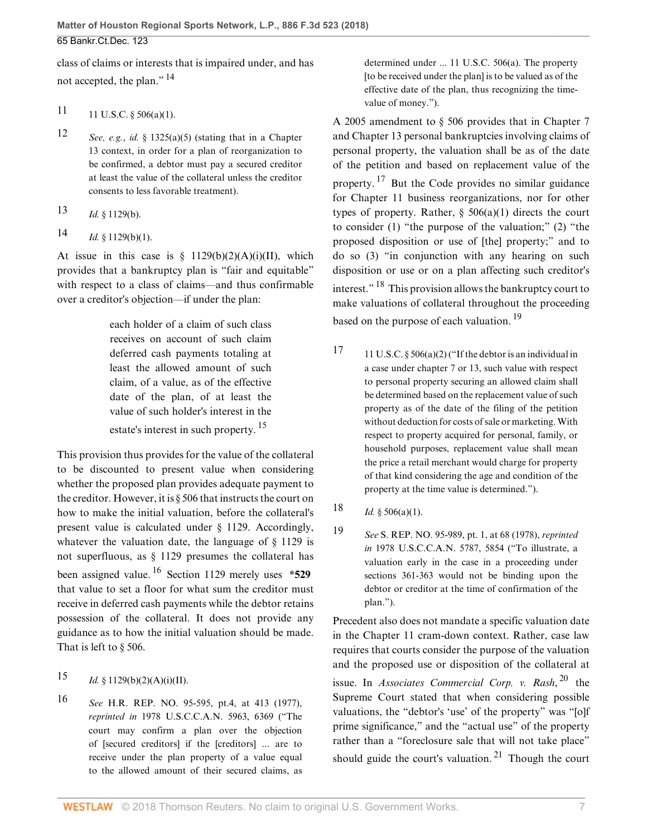<span id="page-6-4"></span>class of claims or interests that is impaired under, and has not accepted, the plan."<sup>[14](#page-6-3)</sup>

- <span id="page-6-0"></span>[11](#page-5-13) U.S.C.  $\S 506(a)(1)$ .
- <span id="page-6-1"></span>[12](#page-5-14) *See, e.g.*, *id.* § 1325(a)(5) (stating that in a Chapter 13 context, in order for a plan of reorganization to be confirmed, a debtor must pay a secured creditor at least the value of the collateral unless the creditor consents to less favorable treatment).
- <span id="page-6-2"></span>[13](#page-5-15) *Id.* § 1129(b).
- <span id="page-6-3"></span>[14](#page-6-4)  $Id. \S 1129(b)(1).$

At issue in this case is  $\S$  1129(b)(2)(A)(i)(II), which provides that a bankruptcy plan is "fair and equitable" with respect to a class of claims—and thus confirmable over a creditor's objection—if under the plan:

> each holder of a claim of such class receives on account of such claim deferred cash payments totaling at least the allowed amount of such claim, of a value, as of the effective date of the plan, of at least the value of such holder's interest in the estate's interest in such property.  $15$

This provision thus provides for the value of the collateral to be discounted to present value when considering whether the proposed plan provides adequate payment to the creditor. However, it is [§ 506](http://www.westlaw.com/Link/Document/FullText?findType=L&pubNum=1000546&cite=11USCAS506&originatingDoc=Id6fbb8b0338811e8a054a06708233710&refType=LQ&originationContext=document&vr=3.0&rs=cblt1.0&transitionType=DocumentItem&contextData=(sc.PubAlert)) that instructs the court on how to make the initial valuation, before the collateral's present value is calculated under § 1129. Accordingly, whatever the valuation date, the language of § 1129 is not superfluous, as § 1129 presumes the collateral has been assigned value. [16](#page-6-6) Section 1129 merely uses **\*529** that value to set a floor for what sum the creditor must receive in deferred cash payments while the debtor retains possession of the collateral. It does not provide any guidance as to how the initial valuation should be made. That is left to [§ 506](http://www.westlaw.com/Link/Document/FullText?findType=L&pubNum=1000546&cite=11USCAS506&originatingDoc=Id6fbb8b0338811e8a054a06708233710&refType=LQ&originationContext=document&vr=3.0&rs=cblt1.0&transitionType=DocumentItem&contextData=(sc.PubAlert)).

## <span id="page-6-8"></span><span id="page-6-5"></span>[15](#page-6-7) *Id.* § 1129(b)(2)(A)(i)(II).

<span id="page-6-6"></span>[16](#page-6-8) *See* [H.R. REP. NO. 95-595](http://www.westlaw.com/Link/Document/FullText?findType=Y&serNum=0100368790&pubNum=0100014&originatingDoc=Id6fbb8b0338811e8a054a06708233710&refType=TV&originationContext=document&vr=3.0&rs=cblt1.0&transitionType=DocumentItem&contextData=(sc.PubAlert)), pt.4, at 413 (1977), *reprinted in* 1978 U.S.C.C.A.N. 5963, 6369 ("The court may confirm a plan over the objection of [secured creditors] if the [creditors] ... are to receive under the plan property of a value equal to the allowed amount of their secured claims, as

determined under ... [11 U.S.C. 506\(a\).](http://www.westlaw.com/Link/Document/FullText?findType=L&pubNum=1000546&cite=11USCAS506&originatingDoc=Id6fbb8b0338811e8a054a06708233710&refType=SP&originationContext=document&vr=3.0&rs=cblt1.0&transitionType=DocumentItem&contextData=(sc.PubAlert)#co_pp_8b3b0000958a4) The property [to be received under the plan] is to be valued as of the effective date of the plan, thus recognizing the timevalue of money.").

<span id="page-6-12"></span>A 2005 amendment to [§ 506](http://www.westlaw.com/Link/Document/FullText?findType=L&pubNum=1000546&cite=11USCAS506&originatingDoc=Id6fbb8b0338811e8a054a06708233710&refType=LQ&originationContext=document&vr=3.0&rs=cblt1.0&transitionType=DocumentItem&contextData=(sc.PubAlert)) provides that in Chapter 7 and Chapter 13 personal bankruptcies involving claims of personal property, the valuation shall be as of the date of the petition and based on replacement value of the property. [17](#page-6-9) But the Code provides no similar guidance for Chapter 11 business reorganizations, nor for other types of property. Rather,  $\S$  506(a)(1) directs the court to consider (1) "the purpose of the valuation;" (2) "the proposed disposition or use of [the] property;" and to do so (3) "in conjunction with any hearing on such disposition or use or on a plan affecting such creditor's interest." [18](#page-6-10) This provision allows the bankruptcy court to make valuations of collateral throughout the proceeding based on the purpose of each valuation.<sup>[19](#page-6-11)</sup>

- <span id="page-6-14"></span><span id="page-6-13"></span><span id="page-6-9"></span><span id="page-6-7"></span>[17](#page-6-12) 11 U.S.C.  $\S 506(a)(2)$  ("If the debtor is an individual in a case under chapter 7 or 13, such value with respect to personal property securing an allowed claim shall be determined based on the replacement value of such property as of the date of the filing of the petition without deduction for costs of sale or marketing. With respect to property acquired for personal, family, or household purposes, replacement value shall mean the price a retail merchant would charge for property of that kind considering the age and condition of the property at the time value is determined.").
- <span id="page-6-10"></span>[18](#page-6-13)  $Id. \S 506(a)(1)$ .
- <span id="page-6-11"></span>[19](#page-6-14) *See* [S. REP. NO. 95-989,](http://www.westlaw.com/Link/Document/FullText?findType=Y&serNum=0100368789&pubNum=0001503&originatingDoc=Id6fbb8b0338811e8a054a06708233710&refType=TV&originationContext=document&vr=3.0&rs=cblt1.0&transitionType=DocumentItem&contextData=(sc.PubAlert)) pt. 1, at 68 (1978), *reprinted in* 1978 U.S.C.C.A.N. 5787, 5854 ("To illustrate, a valuation early in the case in a proceeding under sections 361-363 would not be binding upon the debtor or creditor at the time of confirmation of the plan.").

<span id="page-6-16"></span><span id="page-6-15"></span>Precedent also does not mandate a specific valuation date in the Chapter 11 cram-down context. Rather, case law requires that courts consider the purpose of the valuation and the proposed use or disposition of the collateral at issue. In *[Associates Commercial Corp. v. Rash](http://www.westlaw.com/Link/Document/FullText?findType=Y&serNum=1997126613&pubNum=0000780&originatingDoc=Id6fbb8b0338811e8a054a06708233710&refType=RP&originationContext=document&vr=3.0&rs=cblt1.0&transitionType=DocumentItem&contextData=(sc.PubAlert))*, [20](#page-7-0) the Supreme Court stated that when considering possible valuations, the "debtor's 'use' of the property" was "[o]f prime significance," and the "actual use" of the property rather than a "foreclosure sale that will not take place" should guide the court's valuation. [21](#page-7-1) Though the court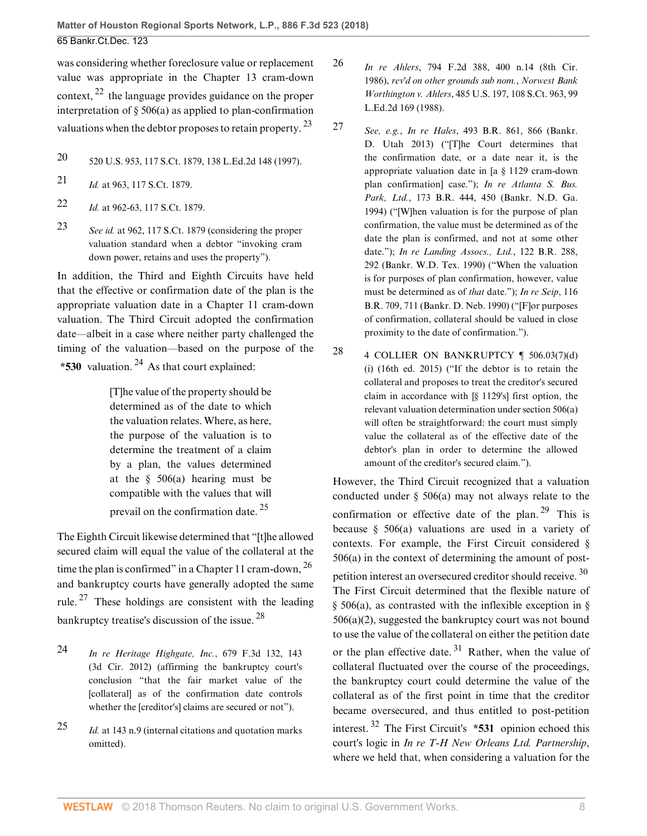<span id="page-7-4"></span>was considering whether foreclosure value or replacement value was appropriate in the Chapter 13 cram-down context, [22](#page-7-2) the language provides guidance on the proper interpretation of [§ 506\(a\)](http://www.westlaw.com/Link/Document/FullText?findType=L&pubNum=1000546&cite=11USCAS506&originatingDoc=Id6fbb8b0338811e8a054a06708233710&refType=SP&originationContext=document&vr=3.0&rs=cblt1.0&transitionType=DocumentItem&contextData=(sc.PubAlert)#co_pp_8b3b0000958a4) as applied to plan-confirmation valuations when the debtor proposes to retain property.  $^{23}$  $^{23}$  $^{23}$ 

- <span id="page-7-0"></span>[20](#page-6-15) [520 U.S. 953, 117 S.Ct. 1879, 138 L.Ed.2d 148 \(1997\).](http://www.westlaw.com/Link/Document/FullText?findType=Y&serNum=1997126613&pubNum=0000708&originatingDoc=Id6fbb8b0338811e8a054a06708233710&refType=RP&originationContext=document&vr=3.0&rs=cblt1.0&transitionType=DocumentItem&contextData=(sc.PubAlert))
- <span id="page-7-1"></span>[21](#page-6-16) *Id.* [at 963, 117 S.Ct. 1879.](http://www.westlaw.com/Link/Document/FullText?findType=Y&serNum=1997126613&pubNum=0000708&originatingDoc=Id6fbb8b0338811e8a054a06708233710&refType=RP&fi=co_pp_sp_708_963&originationContext=document&vr=3.0&rs=cblt1.0&transitionType=DocumentItem&contextData=(sc.PubAlert)#co_pp_sp_708_963)
- <span id="page-7-2"></span>[22](#page-7-4) *Id.* [at 962-63, 117 S.Ct. 1879.](http://www.westlaw.com/Link/Document/FullText?findType=Y&serNum=1997126613&pubNum=0000708&originatingDoc=Id6fbb8b0338811e8a054a06708233710&refType=RP&fi=co_pp_sp_708_962&originationContext=document&vr=3.0&rs=cblt1.0&transitionType=DocumentItem&contextData=(sc.PubAlert)#co_pp_sp_708_962)
- <span id="page-7-3"></span>[23](#page-7-5) *See id.* [at 962, 117 S.Ct. 1879](http://www.westlaw.com/Link/Document/FullText?findType=Y&serNum=1997126613&pubNum=0000708&originatingDoc=Id6fbb8b0338811e8a054a06708233710&refType=RP&fi=co_pp_sp_708_962&originationContext=document&vr=3.0&rs=cblt1.0&transitionType=DocumentItem&contextData=(sc.PubAlert)#co_pp_sp_708_962) (considering the proper valuation standard when a debtor "invoking cram down power, retains and uses the property").

In addition, the Third and Eighth Circuits have held that the effective or confirmation date of the plan is the appropriate valuation date in a Chapter 11 cram-down valuation. The Third Circuit adopted the confirmation date—albeit in a case where neither party challenged the timing of the valuation—based on the purpose of the **\*530** valuation. [24](#page-7-6) As that court explained:

> <span id="page-7-11"></span>[T]he value of the property should be determined as of the date to which the valuation relates. Where, as here, the purpose of the valuation is to determine the treatment of a claim by a plan, the values determined at the [§ 506\(a\)](http://www.westlaw.com/Link/Document/FullText?findType=L&pubNum=1000546&cite=11USCAS506&originatingDoc=Id6fbb8b0338811e8a054a06708233710&refType=SP&originationContext=document&vr=3.0&rs=cblt1.0&transitionType=DocumentItem&contextData=(sc.PubAlert)#co_pp_8b3b0000958a4) hearing must be compatible with the values that will prevail on the confirmation date. [25](#page-7-7)

The Eighth Circuit likewise determined that "[t]he allowed secured claim will equal the value of the collateral at the time the plan is confirmed" in a Chapter 11 cram-down,  $^{26}$  $^{26}$  $^{26}$ and bankruptcy courts have generally adopted the same rule. <sup>[27](#page-7-9)</sup> These holdings are consistent with the leading bankruptcy treatise's discussion of the issue. [28](#page-7-10)

- <span id="page-7-14"></span><span id="page-7-6"></span>[24](#page-7-11) *[In re Heritage Highgate, Inc.](http://www.westlaw.com/Link/Document/FullText?findType=Y&serNum=2027684111&pubNum=0000506&originatingDoc=Id6fbb8b0338811e8a054a06708233710&refType=RP&fi=co_pp_sp_506_143&originationContext=document&vr=3.0&rs=cblt1.0&transitionType=DocumentItem&contextData=(sc.PubAlert)#co_pp_sp_506_143)*, 679 F.3d 132, 143 [\(3d Cir. 2012\)](http://www.westlaw.com/Link/Document/FullText?findType=Y&serNum=2027684111&pubNum=0000506&originatingDoc=Id6fbb8b0338811e8a054a06708233710&refType=RP&fi=co_pp_sp_506_143&originationContext=document&vr=3.0&rs=cblt1.0&transitionType=DocumentItem&contextData=(sc.PubAlert)#co_pp_sp_506_143) (affirming the bankruptcy court's conclusion "that the fair market value of the [collateral] as of the confirmation date controls whether the [creditor's] claims are secured or not").
- <span id="page-7-7"></span>[25](#page-7-12) *Id.* [at 143 n.9](http://www.westlaw.com/Link/Document/FullText?findType=Y&serNum=2027684111&pubNum=0000506&originatingDoc=Id6fbb8b0338811e8a054a06708233710&refType=RP&fi=co_pp_sp_506_143&originationContext=document&vr=3.0&rs=cblt1.0&transitionType=DocumentItem&contextData=(sc.PubAlert)#co_pp_sp_506_143) (internal citations and quotation marks omitted).
- <span id="page-7-8"></span>[26](#page-7-13) *In re Ahlers*[, 794 F.2d 388, 400 n.14 \(8th Cir.](http://www.westlaw.com/Link/Document/FullText?findType=Y&serNum=1986134293&pubNum=0000350&originatingDoc=Id6fbb8b0338811e8a054a06708233710&refType=RP&fi=co_pp_sp_350_400&originationContext=document&vr=3.0&rs=cblt1.0&transitionType=DocumentItem&contextData=(sc.PubAlert)#co_pp_sp_350_400) [1986\),](http://www.westlaw.com/Link/Document/FullText?findType=Y&serNum=1986134293&pubNum=0000350&originatingDoc=Id6fbb8b0338811e8a054a06708233710&refType=RP&fi=co_pp_sp_350_400&originationContext=document&vr=3.0&rs=cblt1.0&transitionType=DocumentItem&contextData=(sc.PubAlert)#co_pp_sp_350_400) *rev'd on other grounds sub nom.*, *[Norwest Bank](http://www.westlaw.com/Link/Document/FullText?findType=Y&serNum=1988031226&pubNum=0000708&originatingDoc=Id6fbb8b0338811e8a054a06708233710&refType=RP&originationContext=document&vr=3.0&rs=cblt1.0&transitionType=DocumentItem&contextData=(sc.PubAlert)) Worthington v. Ahlers*[, 485 U.S. 197, 108 S.Ct. 963, 99](http://www.westlaw.com/Link/Document/FullText?findType=Y&serNum=1988031226&pubNum=0000708&originatingDoc=Id6fbb8b0338811e8a054a06708233710&refType=RP&originationContext=document&vr=3.0&rs=cblt1.0&transitionType=DocumentItem&contextData=(sc.PubAlert)) [L.Ed.2d 169 \(1988\)](http://www.westlaw.com/Link/Document/FullText?findType=Y&serNum=1988031226&pubNum=0000708&originatingDoc=Id6fbb8b0338811e8a054a06708233710&refType=RP&originationContext=document&vr=3.0&rs=cblt1.0&transitionType=DocumentItem&contextData=(sc.PubAlert)).
- <span id="page-7-9"></span><span id="page-7-5"></span>[27](#page-7-14) *See, e.g.*, *In re Hales*[, 493 B.R. 861, 866 \(Bankr.](http://www.westlaw.com/Link/Document/FullText?findType=Y&serNum=2030846782&pubNum=0000164&originatingDoc=Id6fbb8b0338811e8a054a06708233710&refType=RP&fi=co_pp_sp_164_866&originationContext=document&vr=3.0&rs=cblt1.0&transitionType=DocumentItem&contextData=(sc.PubAlert)#co_pp_sp_164_866) [D. Utah 2013\)](http://www.westlaw.com/Link/Document/FullText?findType=Y&serNum=2030846782&pubNum=0000164&originatingDoc=Id6fbb8b0338811e8a054a06708233710&refType=RP&fi=co_pp_sp_164_866&originationContext=document&vr=3.0&rs=cblt1.0&transitionType=DocumentItem&contextData=(sc.PubAlert)#co_pp_sp_164_866) ("[T]he Court determines that the confirmation date, or a date near it, is the appropriate valuation date in [a § 1129 cram-down plan confirmation] case."); *[In re Atlanta S. Bus.](http://www.westlaw.com/Link/Document/FullText?findType=Y&serNum=1994210140&pubNum=0000164&originatingDoc=Id6fbb8b0338811e8a054a06708233710&refType=RP&fi=co_pp_sp_164_450&originationContext=document&vr=3.0&rs=cblt1.0&transitionType=DocumentItem&contextData=(sc.PubAlert)#co_pp_sp_164_450) Park, Ltd.*[, 173 B.R. 444, 450 \(Bankr. N.D. Ga.](http://www.westlaw.com/Link/Document/FullText?findType=Y&serNum=1994210140&pubNum=0000164&originatingDoc=Id6fbb8b0338811e8a054a06708233710&refType=RP&fi=co_pp_sp_164_450&originationContext=document&vr=3.0&rs=cblt1.0&transitionType=DocumentItem&contextData=(sc.PubAlert)#co_pp_sp_164_450) [1994\)](http://www.westlaw.com/Link/Document/FullText?findType=Y&serNum=1994210140&pubNum=0000164&originatingDoc=Id6fbb8b0338811e8a054a06708233710&refType=RP&fi=co_pp_sp_164_450&originationContext=document&vr=3.0&rs=cblt1.0&transitionType=DocumentItem&contextData=(sc.PubAlert)#co_pp_sp_164_450) ("[W]hen valuation is for the purpose of plan confirmation, the value must be determined as of the date the plan is confirmed, and not at some other date."); *[In re Landing Assocs., Ltd.](http://www.westlaw.com/Link/Document/FullText?findType=Y&serNum=1990181754&pubNum=0000164&originatingDoc=Id6fbb8b0338811e8a054a06708233710&refType=RP&fi=co_pp_sp_164_292&originationContext=document&vr=3.0&rs=cblt1.0&transitionType=DocumentItem&contextData=(sc.PubAlert)#co_pp_sp_164_292)*, 122 B.R. 288, [292 \(Bankr. W.D. Tex. 1990\)](http://www.westlaw.com/Link/Document/FullText?findType=Y&serNum=1990181754&pubNum=0000164&originatingDoc=Id6fbb8b0338811e8a054a06708233710&refType=RP&fi=co_pp_sp_164_292&originationContext=document&vr=3.0&rs=cblt1.0&transitionType=DocumentItem&contextData=(sc.PubAlert)#co_pp_sp_164_292) ("When the valuation is for purposes of plan confirmation, however, value must be determined as of *that* date."); *[In re Seip](http://www.westlaw.com/Link/Document/FullText?findType=Y&serNum=1990115374&pubNum=0000164&originatingDoc=Id6fbb8b0338811e8a054a06708233710&refType=RP&fi=co_pp_sp_164_711&originationContext=document&vr=3.0&rs=cblt1.0&transitionType=DocumentItem&contextData=(sc.PubAlert)#co_pp_sp_164_711)*, 116 [B.R. 709, 711 \(Bankr. D. Neb. 1990\)](http://www.westlaw.com/Link/Document/FullText?findType=Y&serNum=1990115374&pubNum=0000164&originatingDoc=Id6fbb8b0338811e8a054a06708233710&refType=RP&fi=co_pp_sp_164_711&originationContext=document&vr=3.0&rs=cblt1.0&transitionType=DocumentItem&contextData=(sc.PubAlert)#co_pp_sp_164_711) ("[F]or purposes of confirmation, collateral should be valued in close proximity to the date of confirmation.").
- <span id="page-7-10"></span>[28](#page-7-15) 4 COLLIER ON BANKRUPTCY  $\P$  506.03(7)(d) (i) (16th ed. 2015) ("If the debtor is to retain the collateral and proposes to treat the creditor's secured claim in accordance with [§ 1129's] first option, the relevant valuation determination under [section 506\(a\)](http://www.westlaw.com/Link/Document/FullText?findType=L&pubNum=1000546&cite=11USCAS506&originatingDoc=Id6fbb8b0338811e8a054a06708233710&refType=SP&originationContext=document&vr=3.0&rs=cblt1.0&transitionType=DocumentItem&contextData=(sc.PubAlert)#co_pp_8b3b0000958a4) will often be straightforward: the court must simply value the collateral as of the effective date of the debtor's plan in order to determine the allowed amount of the creditor's secured claim.").

<span id="page-7-19"></span><span id="page-7-18"></span><span id="page-7-17"></span><span id="page-7-16"></span><span id="page-7-15"></span><span id="page-7-13"></span><span id="page-7-12"></span>However, the Third Circuit recognized that a valuation conducted under  $\S$  506(a) may not always relate to the confirmation or effective date of the plan.  $29$  This is because [§ 506\(a\)](http://www.westlaw.com/Link/Document/FullText?findType=L&pubNum=1000546&cite=11USCAS506&originatingDoc=Id6fbb8b0338811e8a054a06708233710&refType=SP&originationContext=document&vr=3.0&rs=cblt1.0&transitionType=DocumentItem&contextData=(sc.PubAlert)#co_pp_8b3b0000958a4) valuations are used in a variety of contexts. For example, the First Circuit considered § 506(a) in the context of determining the amount of postpetition interest an oversecured creditor should receive. [30](#page-8-2) The First Circuit determined that the flexible nature of [§ 506\(a\)](http://www.westlaw.com/Link/Document/FullText?findType=L&pubNum=1000546&cite=11USCAS506&originatingDoc=Id6fbb8b0338811e8a054a06708233710&refType=SP&originationContext=document&vr=3.0&rs=cblt1.0&transitionType=DocumentItem&contextData=(sc.PubAlert)#co_pp_8b3b0000958a4), as contrasted with the inflexible exception in [§](http://www.westlaw.com/Link/Document/FullText?findType=L&pubNum=1000546&cite=11USCAS506&originatingDoc=Id6fbb8b0338811e8a054a06708233710&refType=SP&originationContext=document&vr=3.0&rs=cblt1.0&transitionType=DocumentItem&contextData=(sc.PubAlert)#co_pp_d86d0000be040) [506\(a\)\(2\)](http://www.westlaw.com/Link/Document/FullText?findType=L&pubNum=1000546&cite=11USCAS506&originatingDoc=Id6fbb8b0338811e8a054a06708233710&refType=SP&originationContext=document&vr=3.0&rs=cblt1.0&transitionType=DocumentItem&contextData=(sc.PubAlert)#co_pp_d86d0000be040), suggested the bankruptcy court was not bound to use the value of the collateral on either the petition date or the plan effective date.<sup>[31](#page-8-3)</sup> Rather, when the value of collateral fluctuated over the course of the proceedings, the bankruptcy court could determine the value of the collateral as of the first point in time that the creditor became oversecured, and thus entitled to post-petition interest. [32](#page-8-4) The First Circuit's **\*531** opinion echoed this court's logic in *[In re T-H New Orleans Ltd. Partnership](http://www.westlaw.com/Link/Document/FullText?findType=Y&serNum=1997133116&pubNum=0000506&originatingDoc=Id6fbb8b0338811e8a054a06708233710&refType=RP&originationContext=document&vr=3.0&rs=cblt1.0&transitionType=DocumentItem&contextData=(sc.PubAlert))*, where we held that, when considering a valuation for the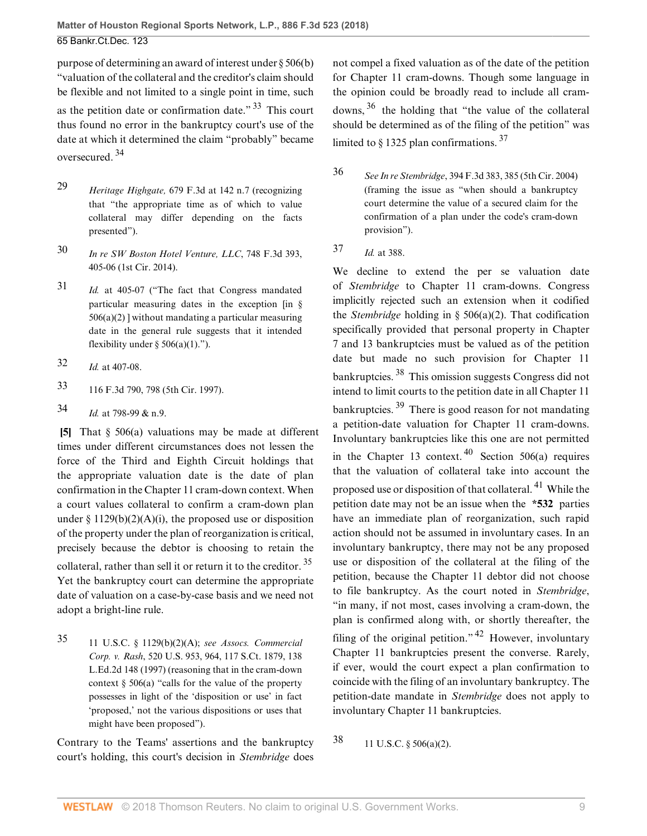**Matter of Houston Regional Sports Network, L.P., 886 F.3d 523 (2018)** 65 Bankr.Ct.Dec. 123

purpose of determining an award of interest under [§ 506\(b\)](http://www.westlaw.com/Link/Document/FullText?findType=L&pubNum=1000546&cite=11USCAS506&originatingDoc=Id6fbb8b0338811e8a054a06708233710&refType=SP&originationContext=document&vr=3.0&rs=cblt1.0&transitionType=DocumentItem&contextData=(sc.PubAlert)#co_pp_a83b000018c76) "valuation of the collateral and the creditor's claim should be flexible and not limited to a single point in time, such as the petition date or confirmation date." [33](#page-8-5) This court thus found no error in the bankruptcy court's use of the date at which it determined the claim "probably" became oversecured. [34](#page-8-6)

- <span id="page-8-8"></span><span id="page-8-1"></span>[29](#page-7-16) *Heritage Highgate,* [679 F.3d at 142 n.7](http://www.westlaw.com/Link/Document/FullText?findType=Y&serNum=2027684111&pubNum=0000506&originatingDoc=Id6fbb8b0338811e8a054a06708233710&refType=RP&fi=co_pp_sp_506_142&originationContext=document&vr=3.0&rs=cblt1.0&transitionType=DocumentItem&contextData=(sc.PubAlert)#co_pp_sp_506_142) (recognizing that "the appropriate time as of which to value collateral may differ depending on the facts presented").
- <span id="page-8-2"></span>[30](#page-7-17) *[In re SW Boston Hotel Venture, LLC](http://www.westlaw.com/Link/Document/FullText?findType=Y&serNum=2033151608&pubNum=0000506&originatingDoc=Id6fbb8b0338811e8a054a06708233710&refType=RP&fi=co_pp_sp_506_405&originationContext=document&vr=3.0&rs=cblt1.0&transitionType=DocumentItem&contextData=(sc.PubAlert)#co_pp_sp_506_405)*, 748 F.3d 393, [405-06 \(1st Cir. 2014\)](http://www.westlaw.com/Link/Document/FullText?findType=Y&serNum=2033151608&pubNum=0000506&originatingDoc=Id6fbb8b0338811e8a054a06708233710&refType=RP&fi=co_pp_sp_506_405&originationContext=document&vr=3.0&rs=cblt1.0&transitionType=DocumentItem&contextData=(sc.PubAlert)#co_pp_sp_506_405).
- <span id="page-8-3"></span>[31](#page-7-18) *Id.* [at 405-07](http://www.westlaw.com/Link/Document/FullText?findType=Y&serNum=2033151608&pubNum=0000506&originatingDoc=Id6fbb8b0338811e8a054a06708233710&refType=RP&fi=co_pp_sp_506_405&originationContext=document&vr=3.0&rs=cblt1.0&transitionType=DocumentItem&contextData=(sc.PubAlert)#co_pp_sp_506_405) ("The fact that Congress mandated particular measuring dates in the exception [in [§](http://www.westlaw.com/Link/Document/FullText?findType=L&pubNum=1000546&cite=11USCAS506&originatingDoc=Id6fbb8b0338811e8a054a06708233710&refType=SP&originationContext=document&vr=3.0&rs=cblt1.0&transitionType=DocumentItem&contextData=(sc.PubAlert)#co_pp_d86d0000be040)  $506(a)(2)$  without mandating a particular measuring date in the general rule suggests that it intended flexibility under §  $506(a)(1)$ .").
- <span id="page-8-4"></span>[32](#page-7-19) *Id.* [at 407-08.](http://www.westlaw.com/Link/Document/FullText?findType=Y&serNum=2033151608&pubNum=0000506&originatingDoc=Id6fbb8b0338811e8a054a06708233710&refType=RP&fi=co_pp_sp_506_407&originationContext=document&vr=3.0&rs=cblt1.0&transitionType=DocumentItem&contextData=(sc.PubAlert)#co_pp_sp_506_407)
- <span id="page-8-5"></span>[33](#page-8-7) [116 F.3d 790, 798 \(5th Cir. 1997\).](http://www.westlaw.com/Link/Document/FullText?findType=Y&serNum=1997133116&pubNum=0000506&originatingDoc=Id6fbb8b0338811e8a054a06708233710&refType=RP&fi=co_pp_sp_506_798&originationContext=document&vr=3.0&rs=cblt1.0&transitionType=DocumentItem&contextData=(sc.PubAlert)#co_pp_sp_506_798)
- <span id="page-8-6"></span>[34](#page-8-8) *Id.* [at 798-99 & n.9](http://www.westlaw.com/Link/Document/FullText?findType=Y&serNum=1997133116&pubNum=0000506&originatingDoc=Id6fbb8b0338811e8a054a06708233710&refType=RP&fi=co_pp_sp_506_798&originationContext=document&vr=3.0&rs=cblt1.0&transitionType=DocumentItem&contextData=(sc.PubAlert)#co_pp_sp_506_798).

<span id="page-8-0"></span>**[\[5](#page-1-3)]** That [§ 506\(a\)](http://www.westlaw.com/Link/Document/FullText?findType=L&pubNum=1000546&cite=11USCAS506&originatingDoc=Id6fbb8b0338811e8a054a06708233710&refType=SP&originationContext=document&vr=3.0&rs=cblt1.0&transitionType=DocumentItem&contextData=(sc.PubAlert)#co_pp_8b3b0000958a4) valuations may be made at different times under different circumstances does not lessen the force of the Third and Eighth Circuit holdings that the appropriate valuation date is the date of plan confirmation in the Chapter 11 cram-down context. When a court values collateral to confirm a cram-down plan under  $\S 1129(b)(2)(A)(i)$ , the proposed use or disposition of the property under the plan of reorganization is critical, precisely because the debtor is choosing to retain the collateral, rather than sell it or return it to the creditor. [35](#page-8-9) Yet the bankruptcy court can determine the appropriate date of valuation on a case-by-case basis and we need not adopt a bright-line rule.

<span id="page-8-9"></span>[35](#page-8-10) [11 U.S.C. § 1129\(b\)\(2\)\(A\);](http://www.westlaw.com/Link/Document/FullText?findType=L&pubNum=1000546&cite=11USCAS1129&originatingDoc=Id6fbb8b0338811e8a054a06708233710&refType=SP&originationContext=document&vr=3.0&rs=cblt1.0&transitionType=DocumentItem&contextData=(sc.PubAlert)#co_pp_1eca000045f07) *see [Assocs. Commercial](http://www.westlaw.com/Link/Document/FullText?findType=Y&serNum=1997126613&pubNum=0000708&originatingDoc=Id6fbb8b0338811e8a054a06708233710&refType=RP&originationContext=document&vr=3.0&rs=cblt1.0&transitionType=DocumentItem&contextData=(sc.PubAlert)) Corp. v. Rash*[, 520 U.S. 953, 964, 117 S.Ct. 1879, 138](http://www.westlaw.com/Link/Document/FullText?findType=Y&serNum=1997126613&pubNum=0000708&originatingDoc=Id6fbb8b0338811e8a054a06708233710&refType=RP&originationContext=document&vr=3.0&rs=cblt1.0&transitionType=DocumentItem&contextData=(sc.PubAlert)) [L.Ed.2d 148 \(1997\)](http://www.westlaw.com/Link/Document/FullText?findType=Y&serNum=1997126613&pubNum=0000708&originatingDoc=Id6fbb8b0338811e8a054a06708233710&refType=RP&originationContext=document&vr=3.0&rs=cblt1.0&transitionType=DocumentItem&contextData=(sc.PubAlert)) (reasoning that in the cram-down context  $\S$  506(a) "calls for the value of the property possesses in light of the 'disposition or use' in fact 'proposed,' not the various dispositions or uses that might have been proposed").

Contrary to the Teams' assertions and the bankruptcy court's holding, this court's decision in *[Stembridge](http://www.westlaw.com/Link/Document/FullText?findType=Y&serNum=2005804596&pubNum=0000506&originatingDoc=Id6fbb8b0338811e8a054a06708233710&refType=RP&originationContext=document&vr=3.0&rs=cblt1.0&transitionType=DocumentItem&contextData=(sc.PubAlert))* does <span id="page-8-13"></span><span id="page-8-7"></span>not compel a fixed valuation as of the date of the petition for Chapter 11 cram-downs. Though some language in the opinion could be broadly read to include all cramdowns,  $36$  the holding that "the value of the collateral should be determined as of the filing of the petition" was limited to  $\frac{1325 \text{ plan}}{201}$  confirmations.  $\frac{37}{201}$  $\frac{37}{201}$  $\frac{37}{201}$ 

- <span id="page-8-14"></span><span id="page-8-11"></span>[36](#page-8-13) *See In re Stembridge*[, 394 F.3d 383, 385 \(5th Cir. 2004\)](http://www.westlaw.com/Link/Document/FullText?findType=Y&serNum=2005804596&pubNum=0000506&originatingDoc=Id6fbb8b0338811e8a054a06708233710&refType=RP&fi=co_pp_sp_506_385&originationContext=document&vr=3.0&rs=cblt1.0&transitionType=DocumentItem&contextData=(sc.PubAlert)#co_pp_sp_506_385) (framing the issue as "when should a bankruptcy court determine the value of a secured claim for the confirmation of a plan under the code's cram-down provision").
- <span id="page-8-12"></span>[37](#page-8-14) *Id.* [at 388.](http://www.westlaw.com/Link/Document/FullText?findType=Y&serNum=2005804596&pubNum=0000506&originatingDoc=Id6fbb8b0338811e8a054a06708233710&refType=RP&fi=co_pp_sp_506_388&originationContext=document&vr=3.0&rs=cblt1.0&transitionType=DocumentItem&contextData=(sc.PubAlert)#co_pp_sp_506_388)

<span id="page-8-19"></span><span id="page-8-18"></span><span id="page-8-17"></span><span id="page-8-16"></span>We decline to extend the per se valuation date of *[Stembridge](http://www.westlaw.com/Link/Document/FullText?findType=Y&serNum=2005804596&pubNum=0000506&originatingDoc=Id6fbb8b0338811e8a054a06708233710&refType=RP&originationContext=document&vr=3.0&rs=cblt1.0&transitionType=DocumentItem&contextData=(sc.PubAlert))* to Chapter 11 cram-downs. Congress implicitly rejected such an extension when it codified the *[Stembridge](http://www.westlaw.com/Link/Document/FullText?findType=Y&serNum=2005804596&pubNum=0000506&originatingDoc=Id6fbb8b0338811e8a054a06708233710&refType=RP&originationContext=document&vr=3.0&rs=cblt1.0&transitionType=DocumentItem&contextData=(sc.PubAlert))* holding in [§ 506\(a\)\(2\).](http://www.westlaw.com/Link/Document/FullText?findType=L&pubNum=1000546&cite=11USCAS506&originatingDoc=Id6fbb8b0338811e8a054a06708233710&refType=SP&originationContext=document&vr=3.0&rs=cblt1.0&transitionType=DocumentItem&contextData=(sc.PubAlert)#co_pp_d86d0000be040) That codification specifically provided that personal property in Chapter 7 and 13 bankruptcies must be valued as of the petition date but made no such provision for Chapter 11 bankruptcies. [38](#page-8-15) This omission suggests Congress did not intend to limit courts to the petition date in all Chapter 11 bankruptcies. [39](#page-9-4) There is good reason for not mandating a petition-date valuation for Chapter 11 cram-downs. Involuntary bankruptcies like this one are not permitted in the Chapter 13 context.  $40$  [Section 506\(a\)](http://www.westlaw.com/Link/Document/FullText?findType=L&pubNum=1000546&cite=11USCAS506&originatingDoc=Id6fbb8b0338811e8a054a06708233710&refType=SP&originationContext=document&vr=3.0&rs=cblt1.0&transitionType=DocumentItem&contextData=(sc.PubAlert)#co_pp_8b3b0000958a4) requires that the valuation of collateral take into account the proposed use or disposition of that collateral. [41](#page-9-6) While the petition date may not be an issue when the **\*532** parties have an immediate plan of reorganization, such rapid action should not be assumed in involuntary cases. In an involuntary bankruptcy, there may not be any proposed use or disposition of the collateral at the filing of the petition, because the Chapter 11 debtor did not choose to file bankruptcy. As the court noted in *[Stembridge](http://www.westlaw.com/Link/Document/FullText?findType=Y&serNum=2005804596&pubNum=0000506&originatingDoc=Id6fbb8b0338811e8a054a06708233710&refType=RP&originationContext=document&vr=3.0&rs=cblt1.0&transitionType=DocumentItem&contextData=(sc.PubAlert))*, "in many, if not most, cases involving a cram-down, the plan is confirmed along with, or shortly thereafter, the filing of the original petition."  $42$  However, involuntary Chapter 11 bankruptcies present the converse. Rarely, if ever, would the court expect a plan confirmation to coincide with the filing of an involuntary bankruptcy. The petition-date mandate in *[Stembridge](http://www.westlaw.com/Link/Document/FullText?findType=Y&serNum=2005804596&pubNum=0000506&originatingDoc=Id6fbb8b0338811e8a054a06708233710&refType=RP&originationContext=document&vr=3.0&rs=cblt1.0&transitionType=DocumentItem&contextData=(sc.PubAlert))* does not apply to involuntary Chapter 11 bankruptcies.

<span id="page-8-20"></span><span id="page-8-15"></span><span id="page-8-10"></span>[38](#page-8-16) [11 U.S.C. § 506\(a\)\(2\).](http://www.westlaw.com/Link/Document/FullText?findType=L&pubNum=1000546&cite=11USCAS506&originatingDoc=Id6fbb8b0338811e8a054a06708233710&refType=SP&originationContext=document&vr=3.0&rs=cblt1.0&transitionType=DocumentItem&contextData=(sc.PubAlert)#co_pp_d86d0000be040)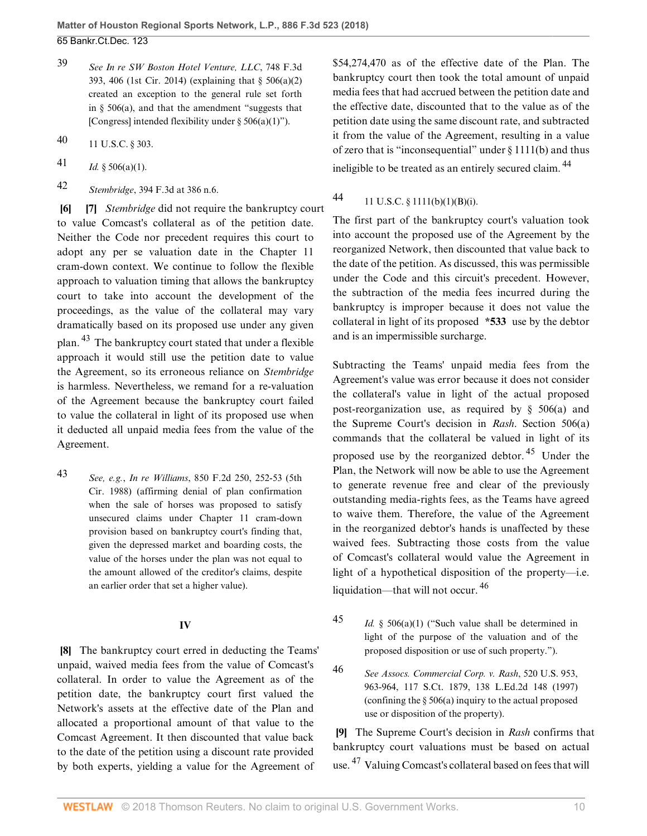- <span id="page-9-4"></span>[39](#page-8-17) *See [In re SW Boston Hotel Venture, LLC](http://www.westlaw.com/Link/Document/FullText?findType=Y&serNum=2033151608&pubNum=0000506&originatingDoc=Id6fbb8b0338811e8a054a06708233710&refType=RP&fi=co_pp_sp_506_406&originationContext=document&vr=3.0&rs=cblt1.0&transitionType=DocumentItem&contextData=(sc.PubAlert)#co_pp_sp_506_406)*, 748 F.3d [393, 406 \(1st Cir. 2014\)](http://www.westlaw.com/Link/Document/FullText?findType=Y&serNum=2033151608&pubNum=0000506&originatingDoc=Id6fbb8b0338811e8a054a06708233710&refType=RP&fi=co_pp_sp_506_406&originationContext=document&vr=3.0&rs=cblt1.0&transitionType=DocumentItem&contextData=(sc.PubAlert)#co_pp_sp_506_406) (explaining that [§ 506\(a\)\(2\)](http://www.westlaw.com/Link/Document/FullText?findType=L&pubNum=1000546&cite=11USCAS506&originatingDoc=Id6fbb8b0338811e8a054a06708233710&refType=SP&originationContext=document&vr=3.0&rs=cblt1.0&transitionType=DocumentItem&contextData=(sc.PubAlert)#co_pp_d86d0000be040) created an exception to the general rule set forth in  $\S$  506(a), and that the amendment "suggests that [Congress] intended flexibility under  $\S 506(a)(1)$ ").
- <span id="page-9-5"></span>[40](#page-8-18) [11 U.S.C. § 303.](http://www.westlaw.com/Link/Document/FullText?findType=L&pubNum=1000546&cite=11USCAS303&originatingDoc=Id6fbb8b0338811e8a054a06708233710&refType=LQ&originationContext=document&vr=3.0&rs=cblt1.0&transitionType=DocumentItem&contextData=(sc.PubAlert))
- <span id="page-9-6"></span>[41](#page-8-19) *Id.* § 506(a)(1).
- <span id="page-9-7"></span>[42](#page-8-20) *Stembridge*[, 394 F.3d at 386 n.6.](http://www.westlaw.com/Link/Document/FullText?findType=Y&serNum=2005804596&pubNum=0000506&originatingDoc=Id6fbb8b0338811e8a054a06708233710&refType=RP&fi=co_pp_sp_506_386&originationContext=document&vr=3.0&rs=cblt1.0&transitionType=DocumentItem&contextData=(sc.PubAlert)#co_pp_sp_506_386)

<span id="page-9-9"></span><span id="page-9-1"></span><span id="page-9-0"></span>**[\[6](#page-1-4)] [\[7\]](#page-1-1)** *[Stembridge](http://www.westlaw.com/Link/Document/FullText?findType=Y&serNum=2005804596&pubNum=0000506&originatingDoc=Id6fbb8b0338811e8a054a06708233710&refType=RP&originationContext=document&vr=3.0&rs=cblt1.0&transitionType=DocumentItem&contextData=(sc.PubAlert))* did not require the bankruptcy court to value Comcast's collateral as of the petition date. Neither the Code nor precedent requires this court to adopt any per se valuation date in the Chapter 11 cram-down context. We continue to follow the flexible approach to valuation timing that allows the bankruptcy court to take into account the development of the proceedings, as the value of the collateral may vary dramatically based on its proposed use under any given plan. [43](#page-9-8) The bankruptcy court stated that under a flexible approach it would still use the petition date to value the Agreement, so its erroneous reliance on *[Stembridge](http://www.westlaw.com/Link/Document/FullText?findType=Y&serNum=2005804596&pubNum=0000506&originatingDoc=Id6fbb8b0338811e8a054a06708233710&refType=RP&originationContext=document&vr=3.0&rs=cblt1.0&transitionType=DocumentItem&contextData=(sc.PubAlert))* is harmless. Nevertheless, we remand for a re-valuation of the Agreement because the bankruptcy court failed to value the collateral in light of its proposed use when it deducted all unpaid media fees from the value of the Agreement.

<span id="page-9-8"></span>[43](#page-9-9) *See, e.g.*, *In re Williams*[, 850 F.2d 250, 252-53 \(5th](http://www.westlaw.com/Link/Document/FullText?findType=Y&serNum=1988090537&pubNum=0000350&originatingDoc=Id6fbb8b0338811e8a054a06708233710&refType=RP&fi=co_pp_sp_350_252&originationContext=document&vr=3.0&rs=cblt1.0&transitionType=DocumentItem&contextData=(sc.PubAlert)#co_pp_sp_350_252) [Cir. 1988\)](http://www.westlaw.com/Link/Document/FullText?findType=Y&serNum=1988090537&pubNum=0000350&originatingDoc=Id6fbb8b0338811e8a054a06708233710&refType=RP&fi=co_pp_sp_350_252&originationContext=document&vr=3.0&rs=cblt1.0&transitionType=DocumentItem&contextData=(sc.PubAlert)#co_pp_sp_350_252) (affirming denial of plan confirmation when the sale of horses was proposed to satisfy unsecured claims under Chapter 11 cram-down provision based on bankruptcy court's finding that, given the depressed market and boarding costs, the value of the horses under the plan was not equal to the amount allowed of the creditor's claims, despite an earlier order that set a higher value).

### **IV**

<span id="page-9-2"></span>**[\[8](#page-2-0)]** The bankruptcy court erred in deducting the Teams' unpaid, waived media fees from the value of Comcast's collateral. In order to value the Agreement as of the petition date, the bankruptcy court first valued the Network's assets at the effective date of the Plan and allocated a proportional amount of that value to the Comcast Agreement. It then discounted that value back to the date of the petition using a discount rate provided by both experts, yielding a value for the Agreement of

\$54,274,470 as of the effective date of the Plan. The bankruptcy court then took the total amount of unpaid media fees that had accrued between the petition date and the effective date, discounted that to the value as of the petition date using the same discount rate, and subtracted it from the value of the Agreement, resulting in a value of zero that is "inconsequential" under [§ 1111\(b\)](http://www.westlaw.com/Link/Document/FullText?findType=L&pubNum=1000546&cite=11USCAS1111&originatingDoc=Id6fbb8b0338811e8a054a06708233710&refType=SP&originationContext=document&vr=3.0&rs=cblt1.0&transitionType=DocumentItem&contextData=(sc.PubAlert)#co_pp_a83b000018c76) and thus ineligible to be treated as an entirely secured claim. [44](#page-9-10)

# <span id="page-9-11"></span><span id="page-9-10"></span>[44](#page-9-11) [11 U.S.C. § 1111\(b\)\(1\)\(B\)\(i\)](http://www.westlaw.com/Link/Document/FullText?findType=L&pubNum=1000546&cite=11USCAS1111&originatingDoc=Id6fbb8b0338811e8a054a06708233710&refType=SP&originationContext=document&vr=3.0&rs=cblt1.0&transitionType=DocumentItem&contextData=(sc.PubAlert)#co_pp_7a55000082c76).

The first part of the bankruptcy court's valuation took into account the proposed use of the Agreement by the reorganized Network, then discounted that value back to the date of the petition. As discussed, this was permissible under the Code and this circuit's precedent. However, the subtraction of the media fees incurred during the bankruptcy is improper because it does not value the collateral in light of its proposed **\*533** use by the debtor and is an impermissible surcharge.

<span id="page-9-14"></span>Subtracting the Teams' unpaid media fees from the Agreement's value was error because it does not consider the collateral's value in light of the actual proposed post-reorganization use, as required by [§ 506\(a\)](http://www.westlaw.com/Link/Document/FullText?findType=L&pubNum=1000546&cite=11USCAS506&originatingDoc=Id6fbb8b0338811e8a054a06708233710&refType=SP&originationContext=document&vr=3.0&rs=cblt1.0&transitionType=DocumentItem&contextData=(sc.PubAlert)#co_pp_8b3b0000958a4) and the Supreme Court's decision in *[Rash](http://www.westlaw.com/Link/Document/FullText?findType=Y&serNum=1997126613&pubNum=0000780&originatingDoc=Id6fbb8b0338811e8a054a06708233710&refType=RP&originationContext=document&vr=3.0&rs=cblt1.0&transitionType=DocumentItem&contextData=(sc.PubAlert))*. [Section 506\(a\)](http://www.westlaw.com/Link/Document/FullText?findType=L&pubNum=1000546&cite=11USCAS506&originatingDoc=Id6fbb8b0338811e8a054a06708233710&refType=SP&originationContext=document&vr=3.0&rs=cblt1.0&transitionType=DocumentItem&contextData=(sc.PubAlert)#co_pp_8b3b0000958a4) commands that the collateral be valued in light of its proposed use by the reorganized debtor. [45](#page-9-12) Under the Plan, the Network will now be able to use the Agreement to generate revenue free and clear of the previously outstanding media-rights fees, as the Teams have agreed to waive them. Therefore, the value of the Agreement in the reorganized debtor's hands is unaffected by these waived fees. Subtracting those costs from the value of Comcast's collateral would value the Agreement in light of a hypothetical disposition of the property—i.e. liquidation—that will not occur.  $46$ 

- <span id="page-9-15"></span><span id="page-9-12"></span>[45](#page-9-14) *Id.* § 506(a)(1) ("Such value shall be determined in light of the purpose of the valuation and of the proposed disposition or use of such property.").
- <span id="page-9-13"></span>[46](#page-9-15) *See [Assocs. Commercial Corp. v. Rash](http://www.westlaw.com/Link/Document/FullText?findType=Y&serNum=1997126613&pubNum=0000708&originatingDoc=Id6fbb8b0338811e8a054a06708233710&refType=RP&originationContext=document&vr=3.0&rs=cblt1.0&transitionType=DocumentItem&contextData=(sc.PubAlert))*, 520 U.S. 953, [963-964, 117 S.Ct. 1879, 138 L.Ed.2d 148 \(1997\)](http://www.westlaw.com/Link/Document/FullText?findType=Y&serNum=1997126613&pubNum=0000708&originatingDoc=Id6fbb8b0338811e8a054a06708233710&refType=RP&originationContext=document&vr=3.0&rs=cblt1.0&transitionType=DocumentItem&contextData=(sc.PubAlert)) (confining the [§ 506\(a\)](http://www.westlaw.com/Link/Document/FullText?findType=L&pubNum=1000546&cite=11USCAS506&originatingDoc=Id6fbb8b0338811e8a054a06708233710&refType=SP&originationContext=document&vr=3.0&rs=cblt1.0&transitionType=DocumentItem&contextData=(sc.PubAlert)#co_pp_8b3b0000958a4) inquiry to the actual proposed use or disposition of the property).

<span id="page-9-16"></span><span id="page-9-3"></span>**[\[9](#page-2-1)]** The Supreme Court's decision in *[Rash](http://www.westlaw.com/Link/Document/FullText?findType=Y&serNum=1997126613&pubNum=0000780&originatingDoc=Id6fbb8b0338811e8a054a06708233710&refType=RP&originationContext=document&vr=3.0&rs=cblt1.0&transitionType=DocumentItem&contextData=(sc.PubAlert))* confirms that bankruptcy court valuations must be based on actual use. [47](#page-10-5) Valuing Comcast's collateral based on fees that will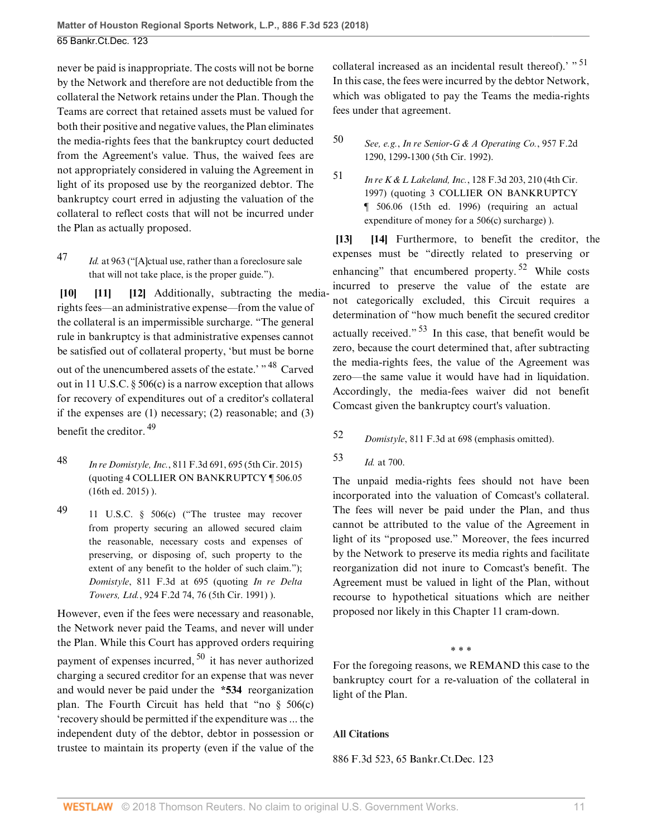never be paid is inappropriate. The costs will not be borne by the Network and therefore are not deductible from the collateral the Network retains under the Plan. Though the Teams are correct that retained assets must be valued for both their positive and negative values, the Plan eliminates the media-rights fees that the bankruptcy court deducted from the Agreement's value. Thus, the waived fees are not appropriately considered in valuing the Agreement in light of its proposed use by the reorganized debtor. The bankruptcy court erred in adjusting the valuation of the collateral to reflect costs that will not be incurred under the Plan as actually proposed.

<span id="page-10-5"></span>[47](#page-9-16) *Id.* [at 963](http://www.westlaw.com/Link/Document/FullText?findType=Y&serNum=1997126613&pubNum=0000780&originatingDoc=Id6fbb8b0338811e8a054a06708233710&refType=RP&fi=co_pp_sp_780_963&originationContext=document&vr=3.0&rs=cblt1.0&transitionType=DocumentItem&contextData=(sc.PubAlert)#co_pp_sp_780_963) ("[A]ctual use, rather than a foreclosure sale that will not take place, is the proper guide.").

<span id="page-10-2"></span><span id="page-10-1"></span><span id="page-10-0"></span>**[\[10](#page-2-2)] [\[11](#page-2-3)] [\[12](#page-3-1)]** Additionally, subtracting the mediarights fees—an administrative expense—from the value of the collateral is an impermissible surcharge. "The general rule in bankruptcy is that administrative expenses cannot be satisfied out of collateral property, 'but must be borne out of the unencumbered assets of the estate.' " <sup>[48](#page-10-6)</sup> Carved out in [11 U.S.C. § 506\(c\)](http://www.westlaw.com/Link/Document/FullText?findType=L&pubNum=1000546&cite=11USCAS506&originatingDoc=Id6fbb8b0338811e8a054a06708233710&refType=SP&originationContext=document&vr=3.0&rs=cblt1.0&transitionType=DocumentItem&contextData=(sc.PubAlert)#co_pp_4b24000003ba5) is a narrow exception that allows for recovery of expenditures out of a creditor's collateral if the expenses are (1) necessary; (2) reasonable; and (3) benefit the creditor.  $49$ 

- <span id="page-10-9"></span><span id="page-10-6"></span>[48](#page-10-8) *In re Domistyle, Inc.*[, 811 F.3d 691, 695 \(5th Cir. 2015\)](http://www.westlaw.com/Link/Document/FullText?findType=Y&serNum=2037906532&pubNum=0000506&originatingDoc=Id6fbb8b0338811e8a054a06708233710&refType=RP&fi=co_pp_sp_506_695&originationContext=document&vr=3.0&rs=cblt1.0&transitionType=DocumentItem&contextData=(sc.PubAlert)#co_pp_sp_506_695) (quoting 4 COLLIER ON BANKRUPTCY ¶ 506.05 (16th ed. 2015) ).
- <span id="page-10-7"></span>[49](#page-10-9) [11 U.S.C. § 506\(c\)](http://www.westlaw.com/Link/Document/FullText?findType=L&pubNum=1000546&cite=11USCAS506&originatingDoc=Id6fbb8b0338811e8a054a06708233710&refType=SP&originationContext=document&vr=3.0&rs=cblt1.0&transitionType=DocumentItem&contextData=(sc.PubAlert)#co_pp_4b24000003ba5) ("The trustee may recover from property securing an allowed secured claim the reasonable, necessary costs and expenses of preserving, or disposing of, such property to the extent of any benefit to the holder of such claim."); *Domistyle*[, 811 F.3d at 695](http://www.westlaw.com/Link/Document/FullText?findType=Y&serNum=2037906532&pubNum=0000506&originatingDoc=Id6fbb8b0338811e8a054a06708233710&refType=RP&fi=co_pp_sp_506_695&originationContext=document&vr=3.0&rs=cblt1.0&transitionType=DocumentItem&contextData=(sc.PubAlert)#co_pp_sp_506_695) (quoting *[In re Delta](http://www.westlaw.com/Link/Document/FullText?findType=Y&serNum=1991031374&pubNum=0000350&originatingDoc=Id6fbb8b0338811e8a054a06708233710&refType=RP&fi=co_pp_sp_350_76&originationContext=document&vr=3.0&rs=cblt1.0&transitionType=DocumentItem&contextData=(sc.PubAlert)#co_pp_sp_350_76) Towers, Ltd.*[, 924 F.2d 74, 76 \(5th Cir. 1991\)](http://www.westlaw.com/Link/Document/FullText?findType=Y&serNum=1991031374&pubNum=0000350&originatingDoc=Id6fbb8b0338811e8a054a06708233710&refType=RP&fi=co_pp_sp_350_76&originationContext=document&vr=3.0&rs=cblt1.0&transitionType=DocumentItem&contextData=(sc.PubAlert)#co_pp_sp_350_76) ).

However, even if the fees were necessary and reasonable, the Network never paid the Teams, and never will under the Plan. While this Court has approved orders requiring payment of expenses incurred, [50](#page-10-10) it has never authorized charging a secured creditor for an expense that was never and would never be paid under the **\*534** reorganization plan. The Fourth Circuit has held that "no  $\S$  506(c) 'recovery should be permitted if the expenditure was ... the independent duty of the debtor, debtor in possession or trustee to maintain its property (even if the value of the <span id="page-10-13"></span>collateral increased as an incidental result thereof).' " <sup>[51](#page-10-11)</sup> In this case, the fees were incurred by the debtor Network, which was obligated to pay the Teams the media-rights fees under that agreement.

## <span id="page-10-10"></span>[50](#page-10-12) *See, e.g.*, *[In re Senior-G & A Operating Co.](http://www.westlaw.com/Link/Document/FullText?findType=Y&serNum=1992065088&pubNum=0000350&originatingDoc=Id6fbb8b0338811e8a054a06708233710&refType=RP&fi=co_pp_sp_350_1299&originationContext=document&vr=3.0&rs=cblt1.0&transitionType=DocumentItem&contextData=(sc.PubAlert)#co_pp_sp_350_1299)*, 957 F.2d [1290, 1299-1300 \(5th Cir. 1992\).](http://www.westlaw.com/Link/Document/FullText?findType=Y&serNum=1992065088&pubNum=0000350&originatingDoc=Id6fbb8b0338811e8a054a06708233710&refType=RP&fi=co_pp_sp_350_1299&originationContext=document&vr=3.0&rs=cblt1.0&transitionType=DocumentItem&contextData=(sc.PubAlert)#co_pp_sp_350_1299)

<span id="page-10-11"></span>[51](#page-10-13) *In re K & L Lakeland, Inc.*[, 128 F.3d 203, 210 \(4th Cir.](http://www.westlaw.com/Link/Document/FullText?findType=Y&serNum=1997212502&pubNum=0000506&originatingDoc=Id6fbb8b0338811e8a054a06708233710&refType=RP&fi=co_pp_sp_506_210&originationContext=document&vr=3.0&rs=cblt1.0&transitionType=DocumentItem&contextData=(sc.PubAlert)#co_pp_sp_506_210) [1997\)](http://www.westlaw.com/Link/Document/FullText?findType=Y&serNum=1997212502&pubNum=0000506&originatingDoc=Id6fbb8b0338811e8a054a06708233710&refType=RP&fi=co_pp_sp_506_210&originationContext=document&vr=3.0&rs=cblt1.0&transitionType=DocumentItem&contextData=(sc.PubAlert)#co_pp_sp_506_210) (quoting 3 COLLIER ON BANKRUPTCY ¶ 506.06 (15th ed. 1996) (requiring an actual expenditure of money for a 506(c) surcharge) ).

<span id="page-10-17"></span><span id="page-10-16"></span><span id="page-10-4"></span><span id="page-10-3"></span>**[\[13](#page-3-2)] [\[14](#page-3-3)]** Furthermore, to benefit the creditor, the expenses must be "directly related to preserving or enhancing" that encumbered property.<sup>[52](#page-10-14)</sup> While costs incurred to preserve the value of the estate are not categorically excluded, this Circuit requires a determination of "how much benefit the secured creditor actually received." [53](#page-10-15) In this case, that benefit would be zero, because the court determined that, after subtracting the media-rights fees, the value of the Agreement was zero—the same value it would have had in liquidation. Accordingly, the media-fees waiver did not benefit Comcast given the bankruptcy court's valuation.

- <span id="page-10-14"></span><span id="page-10-8"></span>[52](#page-10-16) *Domistyle*[, 811 F.3d at 698](http://www.westlaw.com/Link/Document/FullText?findType=Y&serNum=2037906532&pubNum=0000506&originatingDoc=Id6fbb8b0338811e8a054a06708233710&refType=RP&fi=co_pp_sp_506_698&originationContext=document&vr=3.0&rs=cblt1.0&transitionType=DocumentItem&contextData=(sc.PubAlert)#co_pp_sp_506_698) (emphasis omitted).
- <span id="page-10-15"></span>[53](#page-10-17) *Id.* [at 700.](http://www.westlaw.com/Link/Document/FullText?findType=Y&serNum=2037906532&pubNum=0000506&originatingDoc=Id6fbb8b0338811e8a054a06708233710&refType=RP&fi=co_pp_sp_506_700&originationContext=document&vr=3.0&rs=cblt1.0&transitionType=DocumentItem&contextData=(sc.PubAlert)#co_pp_sp_506_700)

The unpaid media-rights fees should not have been incorporated into the valuation of Comcast's collateral. The fees will never be paid under the Plan, and thus cannot be attributed to the value of the Agreement in light of its "proposed use." Moreover, the fees incurred by the Network to preserve its media rights and facilitate reorganization did not inure to Comcast's benefit. The Agreement must be valued in light of the Plan, without recourse to hypothetical situations which are neither proposed nor likely in this Chapter 11 cram-down.

\* \* \*

<span id="page-10-12"></span>For the foregoing reasons, we REMAND this case to the bankruptcy court for a re-valuation of the collateral in light of the Plan.

### **All Citations**

886 F.3d 523, 65 Bankr.Ct.Dec. 123